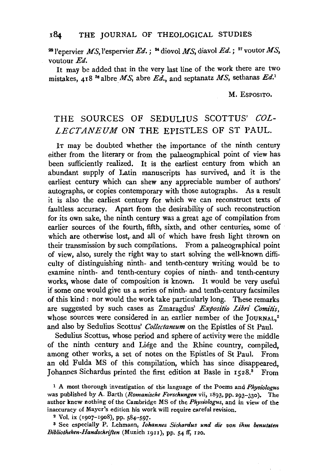<sup>22</sup> l'epervier MS, l'espervier Ed.; <sup>24</sup> diovol MS, diavol Ed.; <sup>27</sup> voutor MS, voutour Ed.

It may be added that in the very last line of the work there are two mistakes, 418<sup>36</sup> albre MS, abre Ed., and septanatz MS, sethanas Ed.<sup>1</sup>

M. EsPOSITO.

## THE SOURCES OF SEDULIUS SCOTTUS' *COL-LECTANEUM* ON THE EPISTLES OF ST PAUL.

IT may be doubted whether the importance of the ninth century either from the literary or from the palaeographical point of view has been sufficiently realized. It is the earliest century from which an abundant supply of Latin manuscripts has survived, and it is the earliest century which can shew any appreciable number of authors' autographs, or copies contemporary with those autographs. As a result it is also the earliest century for which we can reconstruct texts of faultless accuracy. Apart from the desirability of such reconstruction for its own sake, the ninth century was a great age of compilation from earlier sources of the fourth, fifth, sixth, and other centuries, some of which are otherwise lost, and all of which have fresh light thrown on their transmission by such compilations. From a palaeographical point of view, also, surely the right way to start solving the well-known difficulty of distinguishing ninth- and tenth-century writing would be to examine ninth- and tenth-century copies of ninth- and tenth-century works, whose date of composition is known. It would be very useful if some one would give us a series of ninth- and tenth-century facsimiles of this kind : nor would the work take particularly long. These remarks are suggested by such cases as Zmaragdus' *Expositio Libri Comitis*, whose sources were considered in an earlier number of the JOURNAL.<sup>2</sup> and also by Sedulius Scottus' *Collectaneum* on the Epistles of St Paul.

Sedulius Scottus, whose period and sphere of activity were the middle of the ninth century and Liege and the Rhine country, compiled, among other works, a set of notes on the Epistles of St Paul. From an old Fulda MS of this compilation, which has since disappeared, Johannes Sichardus printed the first edition at Basle in 1528.<sup>8</sup> From

<sup>1</sup> A most thorough investigation of the language of the Poems and *Physiologus* was published by A. Barth *(Romanische Forschungen* vii, 1893, pp. 293-330). The author knew nothing of the Cambridge MS of the *Physiologus,* and in view of the inaccuracy of Mayer's edition his work will require careful revision.

2 Vol. ix (1907-1908), pp. 584-597·

<sup>3</sup> See especially P. Lehmann, *Iohannes Sichardus und die von ihm benutsten Bibliotheken-Handschriften* (Munich 19rr), pp. 54 If, 120.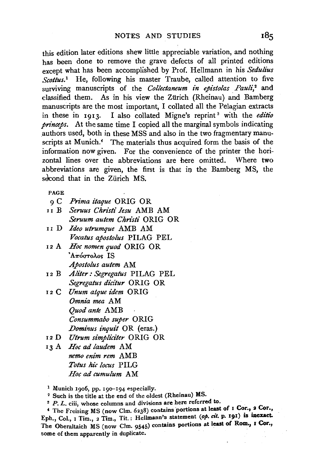this edition later editions shew little appreciable variation, and nothing has been done to remove the grave defects of all printed editions except what has been accomplished by Prof. Hellmann in his *Sedulius Scottus.*<sup>1</sup> He, following his master Traube, called attention to five surviving manuscripts of the *Collectaneum in epistolas Pauli*,<sup>2</sup> and classified them. As in his view the Ziirich (Rheinau) and Bamberg manuscripts are the most important, I collated all the Pelagian extracts in these in 1913. I also collated Migne's reprint 8 with the *edi'tio princeps.* At the same time I copied all the marginal symbols indicating .authors used, both in these MSS and also in the two fragmentary manuscripts at Munich.<sup>4</sup> The materials thus acquired form the basis of the information now given. For the convenience of the printer the horizontal lines over the abbreviations are here omitted. Where two abbreviations are given, the first is that in the Bamberg MS, the second that in the Zürich MS.

PAGE

- gC *Prima itaque* ORIG OR
- nB *Serous Clzristi Iesu* AMB AM *Seruum autem Christi ORIG OR*
- nD *Ideo utrumque* AMB AM *Vocatus apostolus* PILAG PEL
- 12 A *Hoc nomen quod* ORIG OR  $A_{\pi\sigma\sigma\tau\sigma\lambda}$ os IS *Apostolus autem* AM
- 12 B Aliter: Segregatus PILAG PEL *Segregatus didtur* ORIG OR
- 12 c *Unum atque idem* ORIG *Omnia mea* AM *Quod ante* AMB *Consummabo super* ORIG *Dominus inquit* OR (eras.)
- 12 D *Utrum simpliciter* ORIG OR

IJ A *Hoc ad laudem* AM *nemo enim rem* AMB Totus hic locus PILG *Hoc ad cumulum* AM

<sup>1</sup> Munich 1906, pp. 190-194 especially.<br><sup>2</sup> Such is the title at the end of the oldest (Rheinau) MS.<br><sup>3</sup> P. L. ciii, whose columns and divisions are here referred to.

<sup>4</sup> The Freising MS (now Clm. 6238) contains portions at least of I Cor., 2 Cor., Eph., Col., 1 Tim., 2 Tim., Tit.: Hellmann's statement (op. cit. p. 191) is inexact. The Oberaltaich MS (now Clm. 9545) contains portions at least of Rom., I Cor., some of them apparently in duplicate.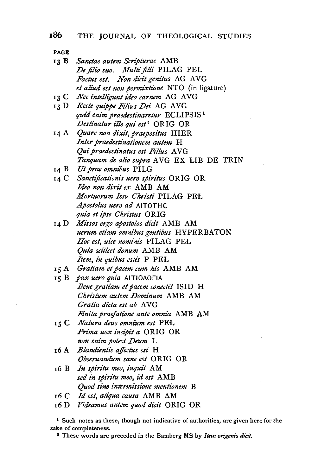- 13 B *Sanctae autem Scripturae* AMB *De jilio suo. Multi filii* PILAG PEL Factus est. Non dicit genitus AG AVG *et aliud est non permixtione* NTO (in ligature)  $13<sup>C</sup>$ *Nec intelligunt ideo carnem* AG AVG
- 13 D Recte quippe Filius Dei AG AVG *quid enim praedestinaretur* ECLIPSIS 1 *Destinatur ille qui est<sup>2</sup>* ORIG OR
- *Quare non dixit, praepositus* HIER *Inter praedestinationem autem* H *Qui praedestinatus est Fil£us* A VG *Tanquam de alio supra* A VG EX LIB DE TRIN
- Ut *prae omnibus* PILG
- *Sanctijicationi's uero spiritus* ORIG OR *Ideo non dixit ex* AMB AM *Mortuorum Iesu Chn.sti* PILAG PEL *Apostolus uero ad AITOTHC quia et ipse Chn.stus* ORIG
- 14 D *Mz"ssos ergo apostolos dicit* AMB AM *uerum etiam omnibus genti'bus* HYPERBATON Hoc est, uice nominis PILAG PEŁ *Quia sci'lii:et donum* AMB AM *Item, in quibus estis* P PEL
- *Gratiam et pacem cum his* AMB AM  $15A$
- 15 B pax uero quia AITIOAOFIA *Bene gratiam et pacem conectit* ISID H *Chn"stum autem Dominum* AMB AM Gratia dicta est ab AVG *Finita praefatione ante omnia* AMB AM
- 15 C *Natura deus omnium est* PEL *Prima uox incipit a* ORIG OR *non enim potest Deum* L
- 16 A *Blandientis affectus est* H *Obseruandum sane est* ORIG OR
- r6 B *In spiritu meo, inquit* AM *sed in spin·tu meo, id est* AMB *Quod sine intermissione mentionem* B
- 16 c *Id est, aliqua causa* AMB AM
- 16 D *Vziieamus autem quod dicit* ORIG OR

1 Such notes as these, though not indicative of authorities, are given here for the sake of completeness. 2 These words are preceded in the Bamberg MS by *Item origem's dicit.*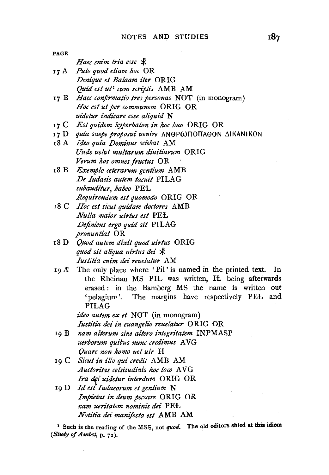| PAGE  |                                                                                            |
|-------|--------------------------------------------------------------------------------------------|
|       | Haec enim tria esse *                                                                      |
| 17 A  | Puto quod etiam hoc OR                                                                     |
|       | Denique et Balaam iter ORIG                                                                |
|       | Quid est ut <sup>1</sup> cum scriptis AMB AM                                               |
| 17 B  | Haec confirmatio tres personas NOT (in monogram)                                           |
|       | Hoc est ut per communem ORIG OR                                                            |
|       | uidetur indicare esse aliquid N                                                            |
| 17 C  | Est quidem hyperbaton in hoc loco ORIG OR                                                  |
|       | 17 D quia saepe proposui uenire ANOPWITOITAOON AIKANIKON                                   |
| 18 A  | Ideo quia Dominus sciebat AM                                                               |
|       | Unde uelut multarum diuitiarum ORIG                                                        |
|       | Verum hos omnes fructus OR                                                                 |
| 18 B  | Exemplo ceterarum gentium AMB                                                              |
|       | De Iudaeis autem tacuit PILAG                                                              |
|       | subauditur, habeo PEL                                                                      |
|       | Requirendum est quomodo ORIG OR                                                            |
|       | 18 C Hoc est sicut quidam doctores AMB                                                     |
|       | <i>Nulla maior uirtus est</i> PEL                                                          |
|       | Definiens ergo quid sit PILAG                                                              |
|       | pronuntiat OR                                                                              |
| 18 D  | Quod autem dixit quod uirtus ORIG                                                          |
|       | quod sit aliqua uirtus dei *                                                               |
|       | Iustitia enim dei reuelatur AM                                                             |
| 19 A  | The only place where 'Pil' is named in the printed text.<br>In                             |
|       | the Rheinau MS PIŁ was written, IŁ being afterwards                                        |
|       | erased: in the Bamberg MS the name is written out                                          |
|       | 'pelagium'. The margins have respectively PEŁ and                                          |
|       | PILAG                                                                                      |
|       | ideo autem ex et NOT (in monogram)                                                         |
|       | Iustitia dei in euangelio reuelatur ORIG OR                                                |
| 19 B  | nam alterum sine altero integritatem INPMASP                                               |
|       | uerborum quibus nunc credimus AVG                                                          |
|       | Quare non homo uel uir H                                                                   |
|       | 19 C Sicut in illo qui credit AMB AM                                                       |
|       | Auctoritas celsitudinis hoc loco AVG                                                       |
|       | Ira dei uidetur interdum ORIG OR                                                           |
| 19 D. | Id est Iudaeorum et gentium N                                                              |
|       | Impietas in deum peccare ORIG OR                                                           |
|       | nam ueritatem nominis dei PEL                                                              |
|       | Notitia dei manifesta est AMB AM                                                           |
|       |                                                                                            |
|       | <sup>1</sup> Such is the reading of the MSS, not quod. The old editors shied at this idiom |
|       | (Study of Ambst, p. $72$ ).                                                                |
|       |                                                                                            |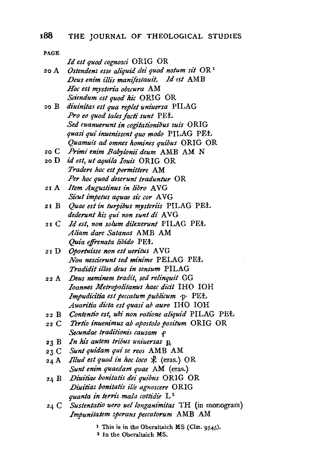PAGE *Id est quod cognosci* ORIG OR 2oA *Ostendens esse aliquid dei quod notum sit* OR 1 *.Deus enim illi's manifestauit. .ld est* AMB *Hoc est mysteri'a obscura* AM *Sciendum est quod hic ORIG OR* 20 B *diuinitas est qua replet uniuersa* PILAG *Pro eo quod tales facti sunt* PEL *Sed euanuerunt in cogitati'onibus suis* ORIG *quasi qui inuenissent quo modo* PILAG PEŁ *Quamuis ad omnes homines quibus* ORIG OR 20 c *Primi enim Babylonii deum* AMB AM N 2oD *id est, ut aquila Ioui's* ORIG OR *Tradere hoc est permittere* AM Per hoc quod deserunt traduntur OR *.Item Augustinus in libro* A VG 2IA *Sicut impetus aquae sic cor* A VG 21 B *Quae est in turpibus mysterii's* PILAG PEL *dederunt his qui non sunt di AVG* 21 c *Id est, non solum dilexerunt* PILAG PEL *Aliam dare Satanas* AMB AM *Quia effrenata libido* PEL 21 D *Oportuisse non est ueritus* A VG *Non nesci'erunt sed minime* PELAG PEL *Tradidit illos deus in sensum* PILAG *.Deus neminem tradit, sed relinquit* GG 22 A *Ioannes Metropolitanus haec dicit* IHO IOH *Impudicitia est peccatum publicum* ·p· PEŁ *Auaritia dicta est quasi ab auro* IHO IOH *Contentio est, ubi non ratione aliquid* PILAG PEL 22 B 22 c *Tertio inuenimus ab apostolo positum* ORIG OR *Secundae traditionis causam* f 23 B In his autem tribus universas **p** 23 C Sunt quidam qui se reos AMB AM 24 A *Illud est quod in hoc loco*  $\mathcal{R}$  (eras.) OR *Sunt eni'm quaedam quae* AM (eras.) 24 B Diuitiae bonitatis dei quibus ORIG OR *.Diuiti'as bonita/is ille agnoscere* ORIG *quanta in terns mala cottidie* L <sup>2</sup> *Sustentatio uero uellonganimi'tas* TH (in monogram) 24 C *Impunitatem sperans peccatorum* AMB AM

<sup>1</sup> This is in the Oberaltaich MS (Clm. 9545).

2 In the Oberaltaich MS.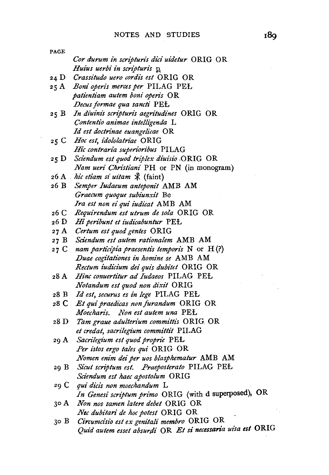| PAGE |                                                            |
|------|------------------------------------------------------------|
|      | Cor durum in scripturis dici uidetur ORIG OR               |
|      | Huius uerbi in scripturis p                                |
| 24 D | Crassitudo uero cordis est ORIG OR                         |
| 25 A | Boni operis merces per PILAG PEŁ                           |
|      | patientiam autem boni operis OR                            |
|      | Decus formae qua sancti PEŁ                                |
| 25 B | In diuinis scripturis aegritudines ORIG OR                 |
|      | Contentio animae intelligenda L                            |
|      | Id est doctrinae euangelicae OR                            |
| 25 C | Hoc est, idololatriae ORIG                                 |
|      | Hic contraria superioribus PILAG                           |
| 25 D | Sciendum est quod triplex diuisio ORIG OR                  |
|      | Nam ueri Christiani PH or PN (in monogram)                 |
|      | 26 A <i>hic etiam si uitam</i> $\mathcal{R}$ (faint)       |
|      | 26 B Semper Iudaeum anteponit AMB AM                       |
|      | Graecum quoque subiunxit Be                                |
|      | Ira est non ei qui iudicat AMB AM                          |
| 26 C | Requirendum est utrum de sola ORIG OR                      |
|      | 26 D Hi peribunt et iudicabuntur PEŁ                       |
|      | 27 A Certum est quod gentes ORIG                           |
| 27 B | Sciendum est autem rationalem AMB AM                       |
| 27 C | nam participia praesentis temporis $N$ or $H(?)$           |
|      | Duae cogitationes in homine se AMB AM                      |
|      | Rectum iudicium dei quis dubitet ORIG OR                   |
| 28 A | Hinc conuertitur ad Iudaeos PILAG PEŁ                      |
|      | Notandum est quod non dixit ORIG                           |
| 28 B | Id est, securus es in lege PILAG PEŁ                       |
| 28 C | Et qui praedicas non furandum ORIG OR                      |
|      | Moecharis. Non est autem una PEL                           |
| 28 D | Tam graue adulterium committis ORIG OR                     |
|      | et credat, sacrilegium committit PILAG                     |
| 29 A | Sacrilegium est quod proprie PEŁ                           |
|      | Per istos ergo tales qui ORIG OR                           |
|      | Nomen enim dei per uos blasphematur AMB AM                 |
| 29 B | Sicut scriptum est. Praeposterato PILAG PEŁ                |
|      | Sciendum est haec apostolum ORIG                           |
| 29 C | qui dicis non moechandum L                                 |
|      | In Genesi scriptum primo ORIG (with d superposed), OR      |
| 30 A | Non nos tamen latere debet ORIG OR                         |
|      | Nec dubitari de hoc potest ORIG OR                         |
| 30 B | Circumcisio est ex genitali membro ORIG OR                 |
|      | Quid autem esset absurdi OR Et si necessaria uisa est ORIG |

 $\overline{\phantom{a}}$ 

 $\mathcal{S}_1$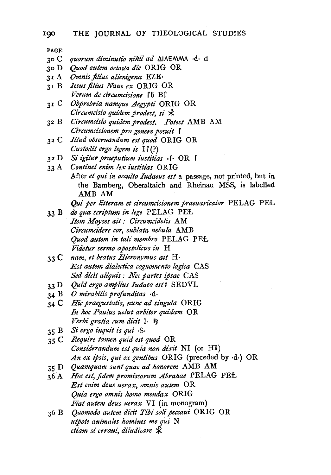- 30 c *quorum diminutio nihil ad* Llli\EMMA ·d· d
- JO D *Quod autem octatla die* ORIG OR
- JI A *Omnis filius alienigena* EZE·
- JIB *Iesus filius Naue ex* ORIG OR *Verum de circumcisione* [b B ]
- 31 c *Obprobria namque Aegypti* ORIG OR *Circumcisio quidem prodest, si*  $\mathcal{R}$
- 32 B *Circumci'sio quidem prodest. Potest* AMB AM *Circumcisi'onem pro genere posuit* f
- <sup>32</sup>c *Illud obseruandum est quod* ORIG OR *Custodit ergo legem is*  $\Gamma(\cdot)$
- $32 D$ *Si igitur praeputium iustitias* f. OR f.
- *Contine/ enim lex iustitias* ORIG After *et qui in occulto Iudaeus est* a passage, not printed, but in the Bamberg, Oberaltaich and Rheinau MSS, is labelled AMB AM

*Qui per litteram et circumcisionem praeuaricator* PELAG PEl.

- 33 B *de qua scriptum in lege* PELAG PEl. *Item Moyses ait: Circumcidetis AM Circumci'dere cor, sublata nebula* AMB *Quod autem in tali membro* PELAG PEl. *Videtur sermo apostolicus in* H
- 33 C *nam, et beatus Hieronymus ait* H· *Est autem dialectica cognomento logica* CAS Sed dicit aliquis : Nec partes ipsae CAS
- 33 D *Quid ergo amplt'us Iudaeo est?* SEDVL
- 34 B *0 mirabilis profunditas* ·d·
- 34 C *Hie praegustatis, nunc ad singula* ORIG In hoc Paulus uelut arbiter quidam OR  $Verbi$  gratia cum dicit 1. Re
- 35 B *Si ergo inquit is qui* .g.
- 35 C *Require tamen quid est quod* OR *Considerandum est quia non dixit* NI (or HI) *An ex ipsis, qui ex gentibus* ORIG (preceded by ·d·) OR
- 35 D *Quamquam sunt quae ad honorem* AMB AM
- 36 A *Hoc est, fidem promissorum Abrahae* PELAG PEl. *Est enim deus uerax, omni's autem* OR *Quia ergo omni's homo mendax* ORIG *Fiat autem deus uerax* VI (in monogram)
- 36 B *Quomodo autem dicit Tibi solipeccaui* ORIG OR *utpote animates homines me qui* N *etiam si erraui, diiudicare*  $\cancel{\mathcal{K}}$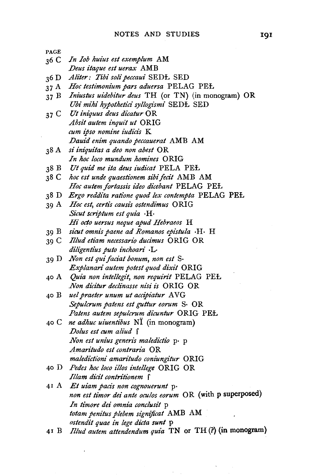PAGE 36 C *In Iob huius est exemplum* AM *Deus itaque est uerax* AMB 36 D *Aliter: Tibi soli peccaui* SEDI:. SED 37 A *Hoc testimonium pars aduersa* PELAG PEl. 37 B *Iniustus uidebitur deus* TH (or TN) (in monogram) OR *Ubi mihi hypothet£ci syllogismi* SEDI:. SED 3 7 C *Ut iniquus deus di'catur* OR *Absit autem inquit ut* ORIG *cum ipso nomine iudicis* K *.Dauid enim quando peccauerat* AMB AM 38 A *si iniquitas a deo non abest* OR *In hoc loco mundum homines* ORIG 38 B *Ut quid me ita deus iudicat* PELA PEl. 38 C *hoc est unde quaestionem sibi fecit* AMB AM *Hoc autem fortassis ideo dicebant* PELAG PEl. 38 D *Ergo reddita ratione quod lex contempta* PELAG PEl. 39 A *Hoc est, certis causis ostendimus* ORIG *Sicut scriptum est quia* ·H· *Hi" octo uersus neque apud Hebraeos* H 39 B *sz"cut omnis paene ad Romanos epistula* ·H· H 39 C *Illud etiam necessario ducimus* ORIG OR *diligentius puto inchoari* ·L· 39 D *Non est qui facial bonum, non est* S· *Explanan· autem potest quod dixit* ORIG 40 A *Quia non intellegit, non requirit* PELAG PEŁ *.Non di'citur declinasse nisi is* ORIG OR 40 B *uel praeter unum ut accipiatur* A VG *Sepulcrum patens est guttur eorum* S· OR *Patens autem sepulcrum dicuntur* ORIG PEl. 40 C *ne adhuc uiuentibus* NI (in monogram) *.Dolus est cum aliud* f *Non est unius generis maledictio* p. p *Amaritudo est contraria* OR  $maleditioni$  amaritudo coniungitur **ORIG** 40 D *Pedes hoc loco illos intellege* ORIG OR *Illam dicit contritionem* f 41 A *Et uiam paczs non cognouerunt* p· *non est timor dei ante ocu!os eorum* OR (with p superposed) *In timore dei omnia conclusit* p *totam penitus plebem signijicat* AMB AM *ostendit quae in lege dicta sunt* p

41 B *Illud autem attendendum quia* TN or TH (?)(in monogram)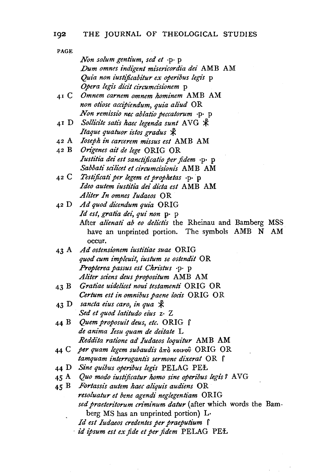PAGE *Non solum gentium, sed et* ·p· p *.Dum omnes indigent misericordia dei* AMB AM *Quia non iustificabitur ex operibus legis* p *Opera legis di'dt circumcisionem* p 41 C *Omnem carnem omnem hominem* AMB AM *non otiose accipiendum, quia aliud* OR *Non remissio nee ablatio peccatorum* ·p· p 41 D *Sollicite satis haec legenda sunt* AVG  $\mathcal{\n}$ *Itaque quatuor istos gradus*  $\oint$ *Ioseph in carcerem mz"ssus est* AMB AM *Origenes ait de lege* ORIG OR *Iustitia dei est sanctijicatio per fidem* ·p· p *Sabbati scilicet et circumcisionis* AMB AM 42 c *Testijicati per legem et prophetas* ·p· · p *Ideo autem iustitia dei dicta est* AMB AM *Aliter In omnes Iudaeos* OR 42 D Ad quod dicendum quia ORIG *Id est, gratia dei, qui non* p· p After *alienati ab eo delictis* the Rheinau and Bamberg MSS have an unprinted portion. The symbols AMB N AM occur. 43 A *Ad ostensionem iustitiae suae* ORIG *quod cum impleuit, i'ustum se ostendit* OR *Propterea passus est Christus* ·p· p *Aliter sdens deus proposz"tum* AMB AM *Gratiae uidelicet noui testamenti* ORIG OR 43 B *Certum est in omnibus paene loct"s* ORIG OR sancta eius caro, in qua  $\mathcal X$  $43\,\mathrm{D}$ *Sed et quod latitudo eius* z· Z 44 B *Quem proposuit deus, etc.* ORIG f *de anima Iesu quam de deitate* L *Reddita ratione ad Iudaeos loquitur* AMB AM 44 C *per quam legem subaudis* από κοινού ORIG OR *tamquam interrogantis sermone dixerat* OR  $\int$ *Sine quibus operibus legis* PELAG PEL 45 A *Quo modo iustijicatur homo sine operibus legis ?* A VG  $45 B$ *Fortasszs autem haec ali'quis audiens* OR *resoluatur et bene agendi neglegentiam* ORIG *sed praeteritorum criminum datur* (after which words the Bamberg MS has an unprinted portion) L·

*Id est Iudaeos credentes per praeputium* f

· *id ipsum est ex fide et per fidem* PELAG PEL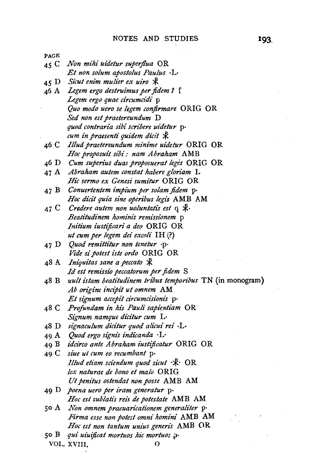| PAGE   |                                                               |
|--------|---------------------------------------------------------------|
| 45 $C$ | Non mihi uidetur superflua OR                                 |
|        | Et non solum apostolus Paulus ·L·                             |
|        | 45 D Sicut enim mulier ex uiro *                              |
| 46 A   | Legem ergo destruimus per fidem? [                            |
|        | Legem ergo quae circumcidi p                                  |
|        | Quo modo uero se legem confirmare ORIG OR                     |
|        | Sed non est praetereundum D                                   |
|        | quod contraria sibi scribere uidetur p.                       |
|        | cum in praesenti quidem dicit *                               |
| 46 C   | Illud praetereundum minime uidetur ORIG OR                    |
|        | Hoc proposuit sibi : nam Abraham AMB                          |
| 46 D   | Cum superius duas proposuerat leges ORIG OR                   |
| 47 A   | Abraham autem constat habere gloriam L                        |
|        | Hic sermo ex Genesi sumitur ORIG OR                           |
| 47 B   | Conuertentem impium per solam fidem p-                        |
|        | Hoc dicit quia sine operibus legis AMB AM                     |
|        | 47 C Credere autem non uoluntatis est $q \nless \mathbb{R}$ . |
|        | <i>Beatitudinem hominis remissionem</i> p                     |
|        | Initium iustificari a deo ORIG OR                             |
|        | ut cum per legem dei excoli IH(?)                             |
|        | 47 D Quod remittitur non tenetur .p.                          |
|        | Vide si potest iste ordo ORIG OR                              |
| 48 A   | Iniquitas sane a peccato $\mathcal X$                         |
|        | Id est remissio peccatorum per fidem S                        |
| 48 B   | uult istam beatitudinem tribus temporibus TN (in monogram)    |
|        | Ab origine incipit ut omnem AM                                |
|        | Et signum accepit circumcisionis p.                           |
| 48 C   | Profundam in his Pauli sapientiam OR                          |
|        | Signum namque dicitur cum L.                                  |
| 48 D   | signaculum dicitur quod alicui rei ·L·                        |
|        | 49 A Quod ergo signis indicanda · L·                          |
|        | 49 B idcirco ante Abraham iustificatur ORIG OR                |
| 49 C   | siue ut cum eo recumbant p.                                   |
|        | Illud etiam sciendum quod sicut · \ OR                        |
|        | lex naturae de bono et malo ORIG                              |
|        | Ut penitus ostendat non posse AMB AM                          |
| 49 D   | poena uero per iram generatur p.                              |
|        | Hoc est sublatis reis de potestate AMB AM                     |
| 50 A   | Non omnem praeuaricationem generaliter p.                     |
|        | Firma esse non potest omni homini AMB AM                      |
|        | Hoc est non tantum unius generis AMB OR                       |
| 50 B   | qui uiuificat mortuos hic mortuos p.                          |
|        | VOL. XVIII.<br>Ω                                              |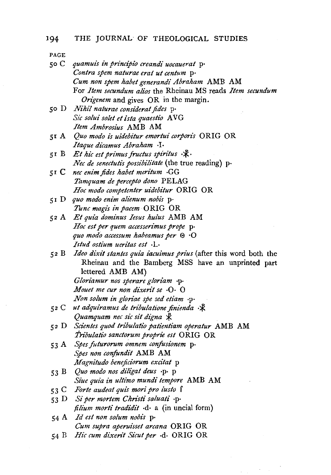*so* C *quamuis in principi'o creandi uocauerat* p· *Contra spem naturae erat ut centum* p· *Cum non spem habet generandi Abraham* AMB AM For *Item secundum alios* the Rheinau MS reads *Item secundum Origenem* and gives OR in the margin. *so* D *Nihil naturae considerat fides* p· *Sic solui solet et isla quaestio* A VG *Item Ambrosius* AMB AM sr *A Quo modo is uidebitur emortui corporis* ORIG OR *Itaque dicamus Abraham* ·I· 5I B *Et hic est primus fructus spiritus* · $\mathcal{R}$ · *Nee de senectutis possibilitate* (the true reading) p· 51 C *nee enim fides habet meritum* ·GG *Tamquam de percepto dono* PELAG *Hoc modo competenter uidebitur* ORIG OR *5* I D *quo modo enim alienum nobis* p· *Tunc magis in pacem* ORIG OR 52 A *Et quia dominus Iesus huius* AMB AM *Hoc est per quem accesserimus prope* p· *quo modo accessum habeamus per* ® ·0 *Istud ostium ueritas est* ·L· 52 B *Ideo dixit stantes quia iacuimus prius* (after this word both the Rheinau and the Bamberg MSS have an unprinted part lettered AMB AM) *Gloriamur nos sperare gloriam* ·p· *Mouet me cur non dixerit se* ·0· 0 *Non solum in gloriae spe sed etiam* ·p· 52 C ut adquiramus de tribulatione finienda · \* *Quamquam nec sic sit digna*  $\ddot{x}$ 52 D *Scientes quod tribulatio patientiam operatur* AMB AM *i'ribulatio sanctorum proprie est* ORIG OR 53 A *Spes juturorum omnem conjusionem* p· *Spes non confundit* AMB AM *Magnitudo benejiciorum excitat* p 53 B *Quo modo nos diligat deus* ·p· p *Siue quia in ultimo mundi tempot·e* AMB AM 53 C Forte audeat quis mori pro iusto f 53 D *Si per mortem Christi saluati* ·p· *filium morti tradidit* ·d· a (in uncial form) 54 A *Id est non solum nobis* p· *Cum supra aperuisset arcana* ORIG OR 54 B *Hic cum dixerit Sicut per*  $\cdot$ d $\cdot$  ORIG OR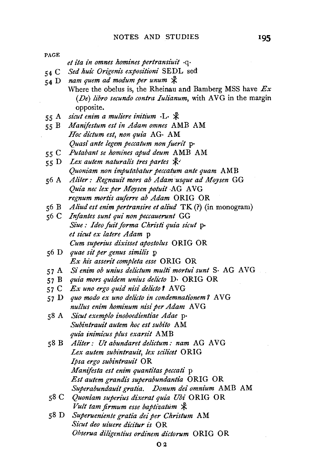*et £ta £n omnes homines pertransiuit* ·q· 54 C Sed huic Origenis expositioni SEDL sed 54 D *nam quem ad modum per unum*  $\mathcal{R}$ Where the obelus is, the Rheinau and Bamberg MSS have *Ex*  (De) libro secundo contra *Iulianum*, with AVG in the margin opposite. 55 A *sicut enim a muliere initium* ·L·  $\mathcal{R}$ 55 B *Manifestum est in Adam omnes* AMB AM *Hoc dictum est, non quia* AG· AM *Quasi ante legem peccatum non fuerit* p· 55 C *Putabant se homines apud deum* AMB AM 55 D Lex autem naturalis tres partes  $\mathbb{R}^3$ *Quoniam non imputabatur peccatum ante quam* AMB 56 A *Aliter: Regnauit mors ab Adam :usque ad Moysen* GG *Quia nec lex per Moysen potuit* AG AVG *regnum mortis auferre ab Adam* ORIG OR 56 B *Aliud est enim pertransire et aliud* TK (?) (in monogram) 56 C *Infantes sunt qui non peccauerunt* GG *Siue: Ideo fuit forma Christ£ quia sicut* p· *et sicut ex latere Adam* p *Cum superius dixisset apostolus* ORIG OR 56 D *quae sit per genus similis* p *Ex his asserit compte/a esse* ORIG OR 57 A *Si enim ob unius delictum multi mortui sun!* S· AG A VG 57 B *quia mors quidem unius delicto* D· ORIG OR 57 C *Ex uno ergo quid nisi delicto I* AVG 57 D *quo modo ex uno delicto in condemnationem 7* AVG *nullus enim hominum nisi per Adam AVG* 58 A *Sicut exemplo inoboedientiae Adae* p· *Subintrauit autem hoc est subito* AM *quia inimicus plus exarsit* AMB 58 B *Aliter: Ut abundant delictum: nam* AG A VG Lex autem subintrauit, lex scilicet ORIG *Ipsa ergo sub£ntrauit* OR *Manifesta est enim quantitas peccati* p *Est autem grandis superabundantia* ORIG OR *Superabundauit gratia. Donum dei omnium* AMB AM 58 C *Quoniam superius dixerat quia Ub£* ORIG OR *Vult tam firmum esse baptizatum*  $\mathcal{R}$ 58 D *Superueniente gratia deiper Christum* AM *Sicut deo uiuere dicitur is* OR *Obserua diligentius ordinem dictorum* ORIG OR O<sub>2</sub>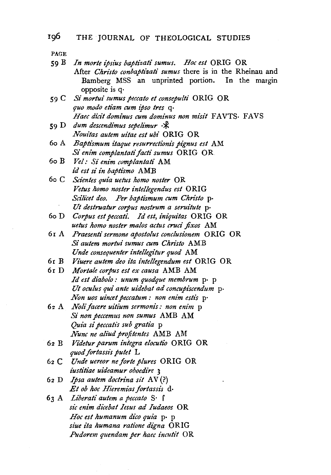59 B *In morte ipsius baptizati sumus. Hoc est* ORIG OR

PAGE

|       | After Christo conbaptizati sumus there is in the Rheinau and |
|-------|--------------------------------------------------------------|
|       | Bamberg MSS an unprinted portion. In the margin              |
|       | opposite is $q \cdot$                                        |
|       | 59 C Si mortui sumus peccato et consepulti ORIG OR           |
|       | quo modo etiam cum ipso tres q.                              |
|       | Haec dicit dominus cum dominus non misit FAVTS. FAVS         |
| 59 D. | dum descendimus sepelimur ·*                                 |
|       | Nouitas autem uitae est ubi ORIG OR                          |
| 60 A  | Baptismum itaque resurrectionis pignus est AM                |
|       | Si enim complantati facti sumus ORIG OR                      |
| 60 B  | Vel: Si enim complantati AM                                  |
|       | id est si in baptismo AMB                                    |
|       | 60 C Scientes quia uetus homo noster OR                      |
|       | Vetus homo noster intellegendus est ORIG                     |
|       | Scilicet deo. Per baptismum cum Christo p.                   |
|       | Ut destruatur corpus nostrum a seruitute p-                  |
|       | 60 D Corpus est peccati. Id est, iniquitas ORIG OR           |
|       | uetus homo noster malos actus cruci fixos AM                 |
|       | 61 A Praesenti sermone apostolus conclusionem ORIG OR        |
|       | Si autem mortui sumus cum Christo AMB                        |
|       | Unde consequenter intellegitur quod AM                       |
|       | 61 B Viuere autem deo ita intellegendum est ORIG OR          |
|       | 61 D Mortale corpus est ex causa AMB AM                      |
|       | Id est diabolo: unum quodque membrum p. p                    |
|       | Ut oculus qui ante uidebat ad concupiscendum p-              |
|       | Non uos uincet peccatum : non enim estis p.                  |
| 62 A  | Noli facere uitium sermonis: non enim p                      |
|       | Si non peccemus non sumus AMB AM                             |
|       | Quia si peccatis sub gratia p                                |
|       | Nunc ne aliud profitentes AMB AM                             |
| 62 B  | Videtur parum integra elocutio ORIG OR                       |
|       | quod fortassis putet L                                       |
|       | 62 C Unde uereor ne forte plures ORIG OR                     |
|       | iustitiae uideamur oboedire 3                                |
|       | 62 D Ipsa autem doctrina sit AV(?)                           |
|       | Et ob hoc Hieremias fortassis d.                             |

63 A *Liberati autem a peccato* S· f *sic enim dzi:ebat Iesus ad Iudaeos* OR *Hoc est humanum dico quia* p· p *siue ita humana ratione digna* ORIG *Pudorem quendam per haec incutit* OR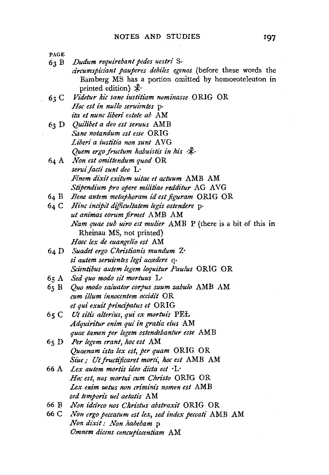63 B *Dudum requirebant pedes uestri* s.

*circumspiciant pauperes debiles egenos* (before these words the Bamberg MS has a portion omitted by homoeoteleuton in printed edition)  $\mathcal{K}$ 

- 63 C *Videtur hie sane iustitiam nominasse* ORIG OR *Hoc est in nullo seruientes* p· *ita et nunc liberi estote ab AM*
- *Quilibet a deo est seruus* AMB *Sane notandum est esse* ORIG Liberi a iustitia non sunt AVG *Quem ergo fructum habuistis in his*  $\mathcal{R}$
- *Non est omittendum quod* OR *seruifactt" sunt deo* L· *Finem dixit exitum uitae et actuum* AMB AM *Stipendium pro opere militiae redditur* AG AVG
- 64 B Bene autem metaphoram id est figuram ORIG OR
- *Hinc incipit difficultatem legis ostendere* p· *ut animas eorum firmet* AMB AM *Nam quae sub uiro est mulier* AMB P (there is a bit of this in Rheinau MS, not printed) *Haec lex de euangelio est* AM
- *Suadet ergo Chn"stianis mundum* Z· *si autem seruientes legi accedere* q· *Scientibus autem legem loquitur Paulus ORIG OR*
- *Sed quo modo sit mortuus* L·
- *Quo modo saluator corpus suum zabulo* AMB AM  $65B$ *cum z7lum z"nnocentem occidit* OR *et qui exuit pn"ncipatus et* ORIG
- 65 C Ut sitis alterius, qui ex mortuis **PEL** *Adquin"tur enim qui in gratia eius* AM *quae /amen per legem ostendebantur esse* AMB
- *Per legem erant, hoc est* AM *Quaenam isla lex est, per quam* ORIG OR *Siue; Ut jructificaret morti, hoc est* AMB AM
- 66 A *Lex autem mortis ideo dicta est* · L-*Hoc est, nos mortui cum Christo* ORIG OR Lex enim uetus non criminis nomen est AMB *sed temporis uel aetati's* AM
- 66 B *Non idcirco 1ws Chn"stus abstraxit* ORIG OR
- 66 c *Non ergo peccatum est lex, sed index peccati* AMB AM *Non dixit: Non habebam* p *Omnem dicens concupi'scentiam* AM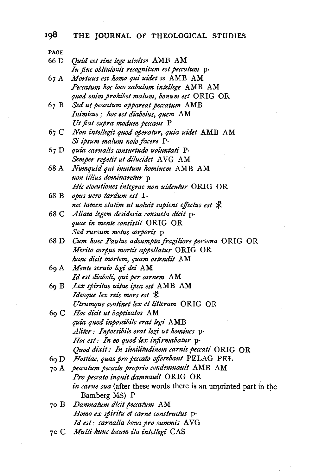| PAGE |                                                                   |
|------|-------------------------------------------------------------------|
| 66 D | Quid est sine lege uixisse AMB AM                                 |
|      | In fine obliuionis recognitum est peccatum p.                     |
| 67 A | Mortuus est homo qui uidet se AMB AM                              |
|      | Peccatum hoc loco zabulum intellege AMB AM                        |
|      | quod enim prohibet malum, bonum est ORIG OR                       |
| 67 B | Sed ut peccatum appareat peccatum AMB                             |
|      | Inimicus; hoc est diabolus, quem AM                               |
|      | Ut fiat supra modum peccans P                                     |
|      | 67 C Non intellegit quod operatur, quia uidet AMB AM              |
|      | Si ipsum malum nolo facere P.                                     |
| 67 D | quia carnalis consuetudo uoluntati P.                             |
|      | Semper repetit ut dilucidet AVG AM                                |
| 68 A | Numquid qui inuitum hominem AMB AM                                |
|      | non illius dominaretur p                                          |
|      | Hic elocutiones integrae non uidentur ORIG OR                     |
| 68 B | opus uero tardum est 1.                                           |
|      | nec tamen statim ut uoluit sapiens effectus est *                 |
| 68 C | Aliam legem desideria consueta dicit p-                           |
|      | quae in mente consistit ORIG OR                                   |
|      | Sed rursum motus corporis p                                       |
| 68 D | Cum haec Paulus adsumpta fragiliore persona ORIG OR               |
|      | Merito corpus mortis appellatur ORIG OR                           |
|      | hanc dicit mortem, quam ostendit AM                               |
|      | 69 A Mente seruio legi dei AM                                     |
|      | Id est diaboli, qui per carnem AM                                 |
| 69 B | Lex spiritus uitae ipsa est AMB AM                                |
|      | Ideoque lex reis mors est $*$                                     |
|      | Utrumque continet lex et litteram ORIG OR                         |
|      | 69 C Hoc dicit ut baptizatos AM                                   |
|      | quia quod inpossibile erat legi AMB                               |
|      | Aliter: Inpossibile erat legi ut homines p.                       |
|      | Hoc est: In eo quod lex infirmabatur $p$ .                        |
|      | Quod dixit: In similitudinem carnis peccati ORIG OR               |
| 69 D | Hostiae, quas pro peccato offerebant PELAG PEL                    |
| 70 A | peccatum peccato proprio condemnauit AMB AM                       |
|      | Pro peccato inquit damnauit ORIG OR                               |
|      | in carne sua (after these words there is an unprinted part in the |
|      | Bamberg MS) P                                                     |
| 70 B | Damnatum dicit peccatum AM                                        |
|      | Homo ex spiritu et carne constructus p.                           |
|      | Id est: carnalia bona pro summis AVG                              |
| 70 C | Multi hunc locum ita intellegi CAS                                |

 $\cdot$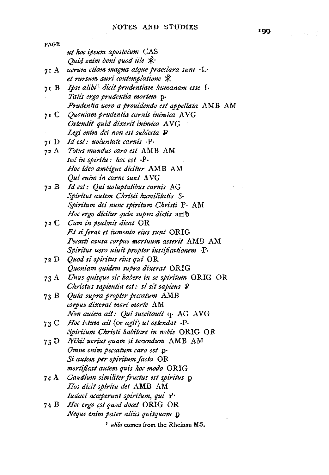| PAGE |                                                          |
|------|----------------------------------------------------------|
|      | ut hoc ipsum apostolum CAS                               |
|      | Quid enim boni quod ille $\mathcal{R}$ .                 |
| 71 A | uerum etiam magna atque praeclara sunt ·L·               |
|      | et rursum auri contemplatione *                          |
| 71 B | Ipse alibi <sup>1</sup> dicit prudentiam humanam esse f. |
|      | Talis ergo prudentia mortem p.                           |
|      | Prudentia uero a prouidendo est appellata AMB AM         |
|      | 71 C Quoniam prudentia carnis inimica AVG                |
|      | Ostendit quid dixerit inimica AVG                        |
|      | Legi enim dei non est subiecta P                         |
|      | 71 D Id est: uoluntate carnis .P.                        |
| 72 A | Totus mundus caro est AMB AM                             |
|      | sed in spiritu: hoc est .P.                              |
|      | Hoc ideo ambigue dicitur AMB AM                          |
|      | Qui enim in carne sunt AVG                               |
|      | 72 B Id est: Qui uoluptatibus carnis AG                  |
|      | Spiritus autem Christi humilitatis S.                    |
|      | Spiritum dei nunc spiritum Christi P. AM                 |
|      | Hoc ergo dicitur quia supra dictis amb                   |
|      | 72 C Cum in psalmis dicat OR                             |
|      | Et si ferae et iumenta eius sunt ORIG                    |
|      | Peccati causa corpus mortuum asserit AMB AM              |
|      | Spiritus uero uiuit propter iustificationem ·P·          |
|      | 72 D Quod si spiritus eius qui OR                        |
|      | Quoniam quidem supra dixerat ORIG                        |
| 73 A | Unus quisque sic habere in se spiritum ORIG OR           |
|      | Christus sapientia est: si sit sapiens P                 |
|      | 73 B Quia supra propter peccatum AMB                     |
|      | corpus dixerat mori morte AM                             |
|      | Non autem ait: Qui suscitauit q. AG AVG                  |
|      | 73 C Hoc totum ait (or agit) ut ostendat P.              |
|      | Spiritum Christi habitare in nobis ORIG OR               |
|      | 73 D Nihil uerius quam si secundum AMB AM                |
|      | Omne enim peccatum caro est p.                           |
|      | Si autem per spiritum facta OR                           |
|      | mortificat autem quis hoc modo ORIG                      |
| 74 A | Gaudium similiter fructus est spiritus p                 |
|      | Hos dicit spiritu dei AMB AM                             |
|      | Iudaei acceperunt spiritum, qui P.                       |
| 74 B | Hoc ergo est quod docet ORIG OR                          |
|      | Neque enim pater alius quisquam p                        |

1 *ahb•* comes from the Rheinau MS.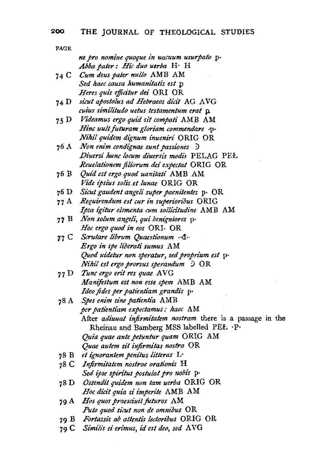PAGE *ne pro nomine quoque in uacuum usurpato* p· Abba pater: Hic duo uerba H<sup>.</sup> H 74 C *Cum deus pater nullo* AMB AM *Sed haec causa humanitatis est* p *Heres qui's ejficitur dei* ORI OR 74 D *sicut apostolus ad Hebraeos dici't* AG A VG *cuius simili'tudo uetus testamentum era!* ,p. *75* D *Videamus ergo quid sit compati* AMB AM *Hinc uu!t futuram gloriam commendare* ·p· *Nihil quidem dignum inueniri* ORIG OR 76 A *Non enim condignae sun! passiones* .::> *Di'uersi hunc locum di'uersi's modis* PELAG PEL *Reuelationem filiorum dei expectat* ORIG OR 76 B *Quid est ergo quod uanitati* AMB AM *Vide ipsius solis.et lunae* ORIG OR 76 D *Sicut gaudent angeli super paenitentes* p· OR 77 A Requirendum est cur in superioribus ORIG *Ipsa igitur element a cum sollicitudine* AMB AM 7 7 B *Non solum angeli, qui benigniores* p· *Hoc ergo quod in eos* ORI· OR 77 C *Scrutare librum Quaestionum* ··d·· *Ergo in spe Iiberati sumus* AM *Quod ui'detur non speratur, sed propn·um est* p· *Nihil est ergo prorsus sperandum* ) OR 77 D *Tunc ergo erit res quae* A VG *Manijestum est non esse spem* AMB AM *Ideo fides per patientiam grandi's* p· 78 A *Spes enim sine patienti'a* AMB *per patientiam expectamus: haec* AM After *adiuuat infirmitatem nostram* there is a passage in the Rheinau and Bamberg MSS labelled PEL · P· *Quia quae ante petuntur quam* ORIG AM *Quae autem sit injirmitas nostra* OR 78 B *et ignorantem penitus litteras* L· 78 C *Injirmitatem nostrae orationis* H *Sed ipse spiritus postulat pro nobis p*· 78 D *Ostendit quidem non tam uerba* ORIG OR *Hoc dicit quia si imperite* AMB AM 79 A *Hos quos praesciuit futuros* AM *Puto quod sicut non de omnibus* OR 79 B *Fortassis ab attentis lectoribus* ORIG OR

79 C *Simi/is ei erimus, id est deo, sed* A VG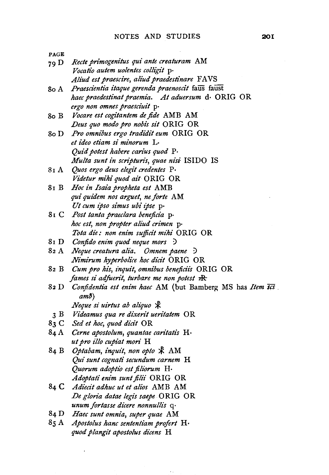| <b>PAGE</b> |                                               |
|-------------|-----------------------------------------------|
| 79 D        | Recte primogenitus qui ante creaturam AM      |
|             | Vocatio autem uolentes colligit p.            |
|             | Aliud est praescire, aliud praedestinare FAVS |

- So A *Praesci'entia itaque gerenda praenoscit* faus faust *haec praedestinat praemia. At aduersum* d· ORIG OR *ergo non omnes praesciuit* p·
- So B *Vocare est cogitantem de fide* AMB AM *Deus quo modo pro nobis sit* ORIG OR
- SoD *Pro omnibus ergo tradidit eum* ORIG OR *et ideo etiam si minorum* L· *Quid potest habere carius quod* P· *Multa sunt in scripturis, quae nisi* ISIDO IS
- 81 A *Quos ergo deus elegit credentes* p. *Videtur mihi quod ail* ORIG OR
- S1 B *Hoc in Isaia propheta est* AMB *qui quidem nos arguet, ne forte* AM *Ut cum ipso simus ubi ipse* p·
- S I C *Post tanta praeclara beneficia* p· *hoc est, non propter aliud crimen* p· *Tota die: non enim sufficit mihi* ORIG OR
- 8 I D *Conjido enim quod neque mors* )
- 82 A *Neque creatura alia. Omnem paene* D *Nimirum hyperbolice hoc dicit* ORIG OR
- 82 B *Cum pro his, inquit, omnibus benejicii's* ORIG OR *fames si adfuerit, turbare me non potest*  $\frac{1}{K}$
- 82 D *Conjidentia est enim haec* AM (but Bamberg MS has *Item SCi* .  $am\bar{b}$ )

 $\ddotsc$ 

- *Neque si uirtus ab aliquo* \*
- 3 B *Videamus quare dixerit ueritatem* OR
- S3 C *Sed et hoc, quod dicit* OR
- 84 A *Cerne apostolum, quantae caritatis* H· *ut pro illo cupiat mori* H
- 84 B *Optabam, inquit, non opto*  $*$  AM *Qui sunt cog1zati secundum carnem* H *Quorum adoptio est jilt'orum* H· *Adoptati enim sunt filii* ORIG OR
- 84 C Adiecit adhuc ut et alios AMB AM *De gloria datae legis saepe* ORIG OR *unumfortasse dicere nonnullis* q·
- 84 D *Haec sunt omnia, super quae* AM
- *S5* A *Apostolus hanc senlentiam profert* H· *quod plangit apostolus dicens* H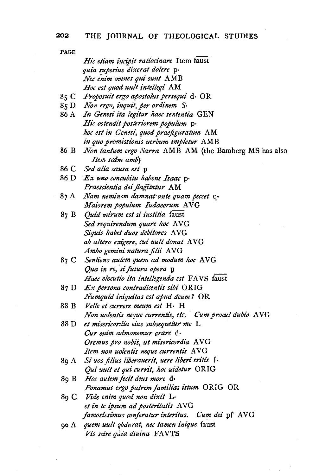## 202 THE JOURNAL OF THEOLOGICAL STUDIES

|      | Hic etiam incipit ratiocinare Item faust                   |
|------|------------------------------------------------------------|
|      | quia superius dixerat dolere p.                            |
|      | Nec enim omnes qui sunt AMB                                |
|      | Hoc est quod uult intellegi AM                             |
|      | 85 C Proposuit ergo apostolus persequi d. OR               |
|      | 85 D Non ergo, inquit, per ordinem S.                      |
| 86 A | In Genesi ita legitur haec sententia GEN                   |
|      | Hic ostendit posteriorem populum p.                        |
|      | hoc est in Genesi, quod praefiguratum AM                   |
|      | in quo promissionis uerbum impletur AMB                    |
| 86 B | Non tantum ergo Sarra AMB AM (the Bamberg MS has also      |
|      | Item scām amb)                                             |
|      | 86 C Sed alia causa est p                                  |
|      | 86 D Ex uno concubitu habens Isaac p.                      |
|      | Praescientia dei flagitatur AM                             |
| 87 A | Nam neminem damnat ante quam peccet q-                     |
|      | Maiorem populum Iudaeorum AVG                              |
| 87 B | Quid mirum est si iustitia faust                           |
|      | Sed requirendum quare hoc AVG                              |
|      | Siquis habet duos debitores AVG                            |
|      | ab altero exigere, cui uult donat AVG                      |
|      | Ambo gemini natura filii AVG                               |
|      | 87 C Sentiens autem quem ad modum hoc AVG                  |
|      | Qua in re, si futura opera p                               |
|      | Haec elocutio ita intellegenda est FAVS faust              |
| 87 D | $Ex$ persona contradicentis sibi $ORIG$                    |
|      | Numquid iniquitas est apud deum? OR                        |
| 88 B | Velle et currere meum est H. H                             |
|      | Non uolentis neque currentis, etc.<br>Cum procul dubio AVG |
| 88 D | et misericordia eius subsequetur me L                      |
|      | Cur enim admonemur orare d.                                |
|      | Oremus pro nobis, ut misericordia AVG                      |
|      | Item non uolentis neque currentis AVG                      |
| 89 A | Si uos filius liberauerit, uere liberi eritis f.           |
|      | Qui uult et qui currit, hoc uidetur ORIG                   |
| 89 B | Hoc autem fecit deus more d.                               |
|      | Ponamus ergo patrem familias istum ORIG OR                 |
| 89 C | Vide enim quod non dixit L-                                |
|      | et in te ipsum ad posteritatis AVG                         |
|      | famosissimus conferatur interitus. Cum dei pf AVG          |
| 90 A | quem uult gbdurat, nec tamen inique faust                  |
|      | Vis scire quia diuina FAVTS                                |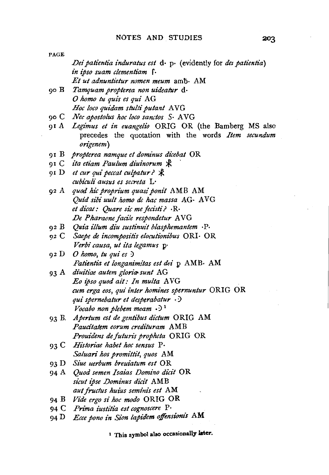| PAGE  |                                                                                |
|-------|--------------------------------------------------------------------------------|
|       | Dei patientia induratus est $d \cdot p \cdot$ (evidently for det patientia)    |
|       | in ipso suam clementiam f.                                                     |
|       | Et ut adnuntietur nomen meum amb. AM                                           |
| 90 B  | Tamquam propterea non uideatur d.                                              |
|       | O homo tu quis es qui AG                                                       |
|       | Hoc loco quidam stulti putant AVG                                              |
| 90 C  | Nec apostolus hoc loco sanctos S. AVG                                          |
| 91 A  | Legimus et in euangelio ORIG OR (the Bamberg MS also                           |
|       | precedes the quotation with the words Item secundum<br>origenem)               |
| 91 B  | propterea namque et dominus dicebat OR                                         |
|       | ita etiam Paulum diuinorum *                                                   |
| 91 C  |                                                                                |
|       | 91 D et cur qui peccat culpatur? $\mathcal{R}$<br>cubiculi ausus es secreta L. |
|       | 92 A quod hic proprium quasi ponit AMB AM                                      |
|       | Quid sibi uult homo de hac massa AG. AVG                                       |
|       | et dicat: Quare sic me fecisti? · R·                                           |
|       | De Pharaone facile respondetur AVG                                             |
| 92 B  | Quia illum diu sustinuit blasphemantem ·P·                                     |
|       | 92 C Saepe de incompositis elocutionibus ORI. OR                               |
|       | Verbi causa, ut ita legamus p-                                                 |
| 92 D  | O homo, tu qui es $\partial$                                                   |
|       | Patientia et longanimitas est dei p AMB. AM                                    |
|       | 93 A diuitiae autem gloria sunt AG                                             |
|       | Eo ipso quod ait: In multa AVG                                                 |
|       | cum erga eos, qui inter homines spernuntur ORIG OR                             |
|       | qui spernebatur et desperabatur $\cdot$ )                                      |
|       | Vocabo non plebem meam $\cdot$ ) <sup>1</sup>                                  |
| 93 B. | Apertum est de gentibus dictum ORIG AM                                         |
|       | Paucitatem eorum credituram AMB                                                |
|       | <i>Prouidens de futuris propheta</i> ORIG OR                                   |
| 93 C  | Historiae habet hoc sensus P.                                                  |
|       | Saluari hos promittit, quos AM                                                 |
|       | 93 D Siue uerbum breuiatum est OR                                              |
| 94 A  | Quod semen Isaias Domino dicit OR                                              |
|       | sicut ipse Dominus dicit AMB                                                   |
|       | aut fructus huius seminis est AM                                               |
| 94 B  | Vide ergo si hoc modo ORIG OR                                                  |
| 94 C  | Prima iustitia est cognoscere P.                                               |
| 94 D  | Ecce pono in Sion lapidem offensionis AM                                       |

1 This symbol also occasionally later.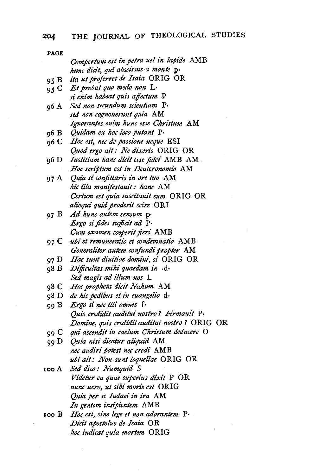| <b>PAGE</b> |                                                |
|-------------|------------------------------------------------|
|             | Compertum est in petra uel in lapide AMB       |
|             | hunc dicit, qui abscissus a monte p.           |
| 95 B        | ita ut proferret de Isaia ORIG OR              |
| 95 C        | Et probat quo modo non L.                      |
|             | si enim habeat quis affectum P                 |
| 96 A        | Sed non secundum scientiam P.                  |
|             | sed non cognouerunt quia AM                    |
|             | Ignorantes enim hunc esse Christum AM          |
| 96 B        | Quidam ex hoc loco putant P.                   |
| 96 C        | Hoc est, nec de passione neque ESI             |
|             | Quod ergo ait: Ne dixeris ORIG OR              |
| 96 D        | Iustitiam hanc dicit esse fidei AMB AM.        |
|             | Hoc scriptum est in Deuteronomio AM            |
| 97 A        | Quia si confitearis in ore tuo AM              |
|             | hic illa manifestauit: hanc AM                 |
|             | Certum est quia suscitauit eum ORIG OR         |
|             | alioqui quid proderit scire ORI                |
| 97 B        | Ad hunc autem sensum p.                        |
|             | Ergo si fides sufficit ad P.                   |
|             | Cum examen coeperit fieri AMB                  |
| 97 C        | ubi et remuneratio et condemnatio AMB          |
|             | Generaliter autem confundi propter AM          |
| 97 D        | Hae sunt diuitiae domini, si ORIG OR           |
| 98 B        | Difficultas mihi quaedam in .d.                |
|             | Sed magis ad illum nos L.                      |
| 98 C        | Hoc propheta dicit Nahum AM                    |
| 98 D        | de his pedibus et in euangelio d.              |
| 99 B        | Ergo si nec illi omnes f.                      |
|             | Quis credidit auditui nostro? Firmauit P.      |
|             | Domine, quis credidit auditui nostro ? ORIG OR |
| 99 C        | qui ascendit in caelum Christum deducere O     |
| 99 D        | Quia nisi dicatur aliquid AM                   |
|             | nec audiri potest nec credi AMB                |
|             | ubi ait: Non sunt loquellae ORIG OR            |
| 100 A       | Sed dico: Numquid S                            |
|             | Videtur ea quae superius dixit P OR            |
|             | nunc uero, ut sibi moris est ORIG              |
|             | Quia per se Iudaei in ira AM                   |
|             | In gentem insipientem AMB                      |
| 100 B       | Hoc est, sine lege et non adorantem P.         |
|             | Dicit apostolus de Isaia OR                    |
|             | hoc indicat quia mortem ORIG                   |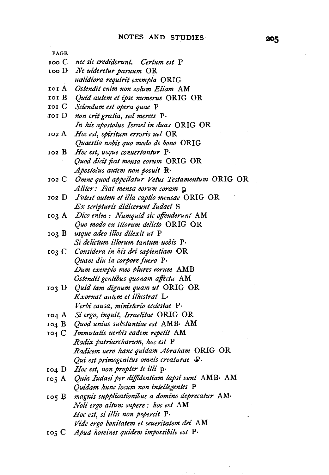PAGE 100 c *nee sic crediderunt. Cerium est* P 1oo D *Ne uideretur paruum* OR ro1 A *Ostendit enim non solum Eliam* AM 101 B *Quid autem et ipse numerus* ORIG OR 101 C *Sciendum est opera quae* P ,101 D *non erit gratia, sed merces* P· 102 A 102 B 102 c 102 D 103 A *Dico enim : Numquid sic offenderunt* AM 103 B *usque adeo illos dilexit ut* P 103 c *Considera in hi's dei sapientiam* OR 103 D 104 A *Si ergo, inquit, Israelitae* ORIG OR 104 B *Quod unius substantiae est* AMB· AM 104 c *Immutatis uerbis eadem repetit* AM 104 D *Hoc est, non propter te illi* p· 1os A *Quia Iudaei per dijjidentiam !apsi sun/* AMB· AM lOS B *magnis supplicationibus a domino deprecatur* AM· IOS C *Apud homines quidem impossibile est* p. *ualidiora requirit exempla* ORIG *In his apostolus Israel in duas* ORIG OR *Hoc est, spiritum erroris uel* OR *Quaestio nobis quo modo de bono* ORIG *Hoc est, usque conuertantur* P. *Quod dicit fiat mensa eorum* ORIG OR *Apostolus autem non posuit* R· *Omne quod appe!latur Vetus Testamentum* ORIG OR *Aliter: Fiat mensa eorum coram* p *Potest autem et illa captio mensae* ORIG OR *Ex scripturis didicerunt Iudaei* S *Quo modo ex illorum delicto* ORIG OR *Si delictum illorum tantum uobis* p. *Quam diu in corpore fuero* p. *Dum exemplo meo plures eorum* AMB *Ostendit gentibus quonam affectu* AM *Quid tam dignum quam ut* ORIG OR *Exornat autem et illustrat* L· *Verbi causa, ministerio ecclesiae* P· *Radix patriarcharum, hoc est* P *Radicem uero hanc quidam Abraham* ORIG OR *Qui est primogenitus omnis creaturae*  $\cdot$ **P** $\cdot$ *Quidam hunc locum non intellegentes* P *Noli ergo altum sapere : hoc est* AM *Hoc est, si illis non pepercit* P. *Vide ergo bonita/em et seueritatem dei* AM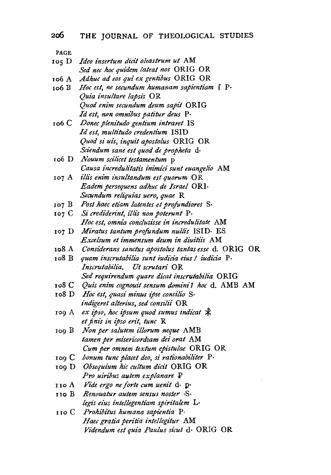- $105 D$ 106 A ro6 B ro6 C 106 D 107 A 107 B *Post haec etiam latentes et profundiores* S· 107 c *Ideo insertum dicit oleastrum ut* AM *Sed nee hoc quidem lateat nos* ORIG OR *Adhuc ad eos qui ex gentibus* ORIG OR *Hoc est, ne secundum humanam sapientiam* f p. *Quia insultare !apsis* OR *Quod enim secundum deum sapit* ORIG *Id est, non omnibus patitur deus* p. *Donee plenitudo gentium intraret* IS *Id est, multitudo credentium* ISID *Quod si uis, inquit apostolus* ORIG OR *Sciendum sane est quod de propheta* d· *Nouum scilicet testamentum* p *Causa incredulitatis inimici sunt euangelio* AM *illis enim insultandum est quorum* OR *Eadem persequens adhuc de Israel* ORI· *Secundum reliqui'as uero, quae* R *Si credi'derint, illi's non poterunt* p. *Hoc est, omnia conclusisse in i'ncredulitate* AM
- 107 D *Mira/us tantum profundum nullis* ISID· ES *Excelsum et immensum deum in diuitiz's* AM
- 108 A *Considerans sanctus apostolus tantas esse* d. ORIG OR
- 108 B *quam inscrutabilia sunt iudicia eius* I *i'udicia* p. *Inscrutabilia. Ut scrutari* OR *Sed requirendum quare dicat inscruiabilia* ORIG
- 108 c *Quis enim cognouit sensum domini? hoc* d. AMB AM
- ro8 D *Hoc est, quasi miizus i'pse consilio* S· *indigeret alterius, sed constlii* OR
- ro9 A *ex ipso, hoc ipsum quod sumus indica!* <sup>~</sup> *et finis in ipso erit, tunc* R
- 109 B *Non per salutem illorum neque* AMB *!amen per mt'sericordtam dei oral* AM *Cum per omnem textum epistulae* ORIG OR
- 109 C *bonum tunc placet deo, si rationabiliter* P.<br>109 D *Obsequium hic cultum dicit* ORIG OR
- *Obsequium hie cultum dicit* ORIG OR *Pro uiribus autem explanare* P
- IIOA *Vide ergo ne forte cum uenit* d· p·
- uoB *Renouatur autem sensus noster* ·S· *legis eius intellegentiam spiritalem* L·
- 110 c *Prohibitus humana sapientia* P· *Haec gratia peritia intellegitur* AM *Videndum est quia Paulus sicut* d· ORIG OR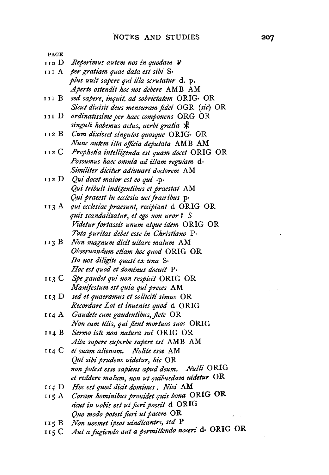| PAGE  |                                                                                           |
|-------|-------------------------------------------------------------------------------------------|
| 110 D | Reperimus autem nos in quodam P                                                           |
| нн А  | per gratiam quae data est sibi S.                                                         |
|       | plus uult sapere qui illa scrutatur d. p.                                                 |
|       | Aperte ostendit hoc nos debere AMB AM                                                     |
| нн В  | sed sapere, inquit, ad sobrietatem ORIG. OR                                               |
|       | Sicut diuisit deus mensuram fidei OGR (sic) OR                                            |
| 111 D | ordinatissime per haec componens ORG OR                                                   |
|       | singuli habemus actus, uerbi gratia *                                                     |
| 112 B | Cum dixisset singulos quosque ORIG. OR                                                    |
|       | Nunc autem illa officia deputata AMB AM                                                   |
| 112 C | Prophetia intelligenda est quam docet ORIG OR                                             |
|       | Possumus haec omnia ad illam regulam d.                                                   |
|       | Similiter dicitur adiuuari doctorem AM                                                    |
| 112 D | Qui docet maior est eo qui ·p·                                                            |
|       | Qui tribuit indigentibus et praestat AM                                                   |
|       | Qui praeest in ecclesia uel fratribus p.                                                  |
| 113 A | qui ecclesiae praesunt, recipiant d ORIG OR                                               |
|       | quis scandalizatur, et ego non uror ? S                                                   |
|       | Videtur fortassis unum atque idem ORIG OR                                                 |
|       | Tota puritas debet esse in Christiano P.                                                  |
| 113 B | Non magnum dicit uitare malum AM                                                          |
|       | Obseruandum etiam hoc quod ORIG OR                                                        |
|       | Ita uos diligite quasi ex una S.                                                          |
|       | Hoc est quod et dominus docuit P.                                                         |
|       | 113 C Spe gaudet qui non respicit ORIG OR                                                 |
|       | Manifestum est quia qui preces AM                                                         |
| 113 D | sed et quaeramus et solliciti simus OR                                                    |
|       | Recordare Lot et inuenies quod d ORIG                                                     |
| 114 A | Gaudete cum gaudentibus, flete OR                                                         |
|       | Non cum illis, qui flent mortuos suos ORIG                                                |
| 114 B | Sermo iste non natura sui ORIG OR                                                         |
|       | Alta sapere superbe sapere est AMB AM                                                     |
| 114 C | et suam alienam. Nolite esse AM                                                           |
|       | Qui sibi prudens uidetur, hic OR                                                          |
|       | non potest esse sapiens apud deum. Nulli ORIG                                             |
|       | et reddere malum, non ut quibusdam uidetur OR                                             |
|       | 114 D Hoc est quod dicit dominus: Nisi AM                                                 |
| 115 A | Coram hominibus prouidet quis bona ORIG OR                                                |
|       | sicut in uobis est ut fieri possit d ORIG                                                 |
|       | Quo modo potest fieri ut pacem OR                                                         |
| 115 B | Non uosmet ipsos uindicantes, sed P<br>Aut a fugiendo aut a permittendo noceri d. ORIG OR |
| 115 C |                                                                                           |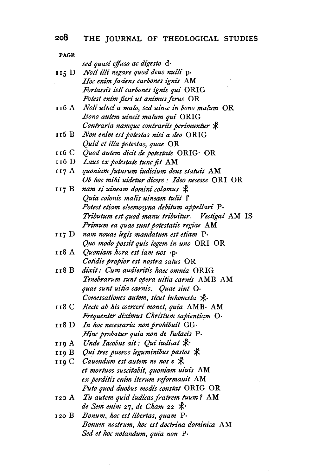## 208 THE JOURNAL OF THEOLOGICAL STUDIES

| PAGE           |                                                                                       |
|----------------|---------------------------------------------------------------------------------------|
|                | sed quasi effuso ac digesto d.                                                        |
| 115 D          | Noli illi negare quod deus nulli p.                                                   |
|                | Hoc enim faciens carbones ignis AM                                                    |
|                | Fortassis isti carbones ignis qui ORIG                                                |
|                | Potest enim fieri ut animus ferus OR                                                  |
| 116 A          | Noli uinci a malo, sed uince in bono malum OR                                         |
|                | Bono autem uincit malum qui ORIG                                                      |
|                | Contraria namque contrariis perimuntur &                                              |
| 116 B          | Non enim est potestas nisi a deo ORIG                                                 |
|                | Quid et illa potestas, quae OR                                                        |
| 116 C          | Quod autem dicit de potestate ORIG· OR                                                |
| 116 D          | Laus ex potestate tunc fit AM                                                         |
| 117 A          | quoniam futurum iudicium deus statuit AM                                              |
|                | Ob hoc mihi uidetur dicere : Ideo necesse ORI OR                                      |
| 117 B          | nam si uineam domini colamus *                                                        |
|                | Quia colonis malis uineam tulit f                                                     |
|                | Potest etiam eleemosyna debitum appellari P.                                          |
|                | Tributum est quod manu tribuitur. Vectigal AM IS                                      |
|                | Primum ea quae sunt potestatis regiae AM                                              |
| 117 D          | nam nouae legis mandatum est etiam P.                                                 |
|                | Quo modo possit quis legem in uno ORI OR                                              |
| 118 A          | Quoniam hora est iam nos .p.                                                          |
|                | Cotidie propior est nostra salus OR                                                   |
| 118 B          | dixit: Cum audieritis haec omnia ORIG                                                 |
|                | Tenebrarum sunt opera uitia carnis AMB AM                                             |
|                | quae sunt uitia carnis. Quae sint O.                                                  |
|                | Comessationes autem, sicut inhonesta &.                                               |
| 118 C          | Recte ab his coerceri monet, quia AMB. AM                                             |
|                | Frequenter diximus Christum sapientiam O.                                             |
| 118 D          | In hoc necessaria non prohibuit GG.                                                   |
|                | Hinc probatur quia non de Iudaeis P.<br>Unde Iacobus ait: Qui iudicat $\mathcal{R}$ . |
| 119 A          | Qui tres pueros leguminibus pastos $\mathcal K$                                       |
| 119 B<br>119 C | Cauendum est autem ne nos e $\mathcal K$                                              |
|                | et mortuos suscitabit, quoniam uiuis AM                                               |
|                | ex perditis enim iterum reformauit AM                                                 |
|                | Puto quod duobus modis constat ORIG OR                                                |
| 120 A          | Tu autem quid iudicas fratrem tuum? AM                                                |
|                | de Sem enim 27, de Cham 22 $\mathcal{K}$ .                                            |
| 120 B          | Bonum, hoc est libertas, quam P.                                                      |
|                | Bonum nostrum, hoc est doctrina dominica AM                                           |
|                | Sed et hoc notandum, quia non P.                                                      |

 $\mathcal{L}$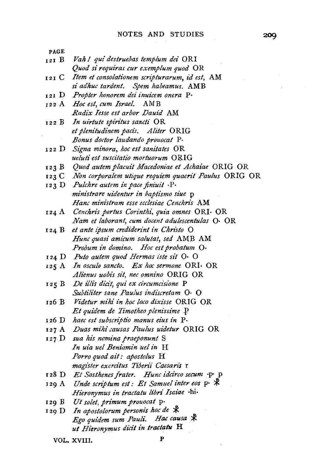PAGE I21 B *Vak* I *qui destruebas templum dei* ORI *Quod si requiras cur exemplum quod* OR I 2 I C *Item et consolationem scripturarum, id est,* AM *si adkuc !ardent. Spem habeamus.* AMB 121 D *Propter honorem dei inuicem oncra* P· 122 A *Hoc est, cum Israel.* AMB 122 B 122 D Signa minora, hoc est sanitates OR I23 B 123 c 123 D *Pulchre autem in pace finiuit* .p. I24 A 124 B et ante ipsum crediderint in Christo O 124 D Puto autem quod Hermas iste sit O· O 125 A 125 B 126 B 126D *kaec est subscriptio manus eius in* p. 127A 127 D *sua his nomina praeponunt* S 128D *Et Sosthenes /rater. Hunc idci'rco secum* ·p· p 129 A 129 B 129 D *Radix Iesse est arbor Dauid* AM *In uirtute spiritus sancti* OR *et plenitudinem pacts. Aliter* ORIG *Bonus doctor laudando prouocat* P· *ueluti est suscitatio mortuorum* ORIG *Quod autem placuit Macedoniae et Achaiae* ORIG OR *Non corpora/em utique requiem quaerit Paulus* ORIG OR *ministrare uidentur in baptismo siue* p *Hanc ministram esse ecclesiae Cenckris* AM *Cenchn·s portus Corinthi, quia omnes* ORI· OR *Nam et laborant, cum docent adulescentulas* 0· OR *Hunc quasi amicum salutat, sed* AMB AM *Probum in domino. Hoc est probatum* 0· *In osculo sancto. Ex hoc sermone* ORI· OR *Alienus uobis sit, nee omnino* ORIG OR *De illis dicit, qui ex circumcisione* P *Subtiliter sane Paulus indiscretam* 0· 0 *Videtur mihi in hoc loco dixisse* ORIG OR *Et quidem de Timotheo plenissime* P *Duas mihi causas Paulus uidetur* ORIG OR In uia uel Beniamin uel in H *Porro quod ail: apostolus* H *magister exercitus Tiberz"i Caesaris* r *Unde scriptum est: Et Samuel inter eos* p.  $\mathcal{\hat{R}}$ *Hieronymus in tractatu libn· Isaiae* ·hi· *Ut solet, primum prouocat* p· *In apostolorum personis hoc de* \* *Ego quidem sum Pauli. Hac causa* & *ut Hieronymus dicit in tractatu* H

VOL, XVIII. P

200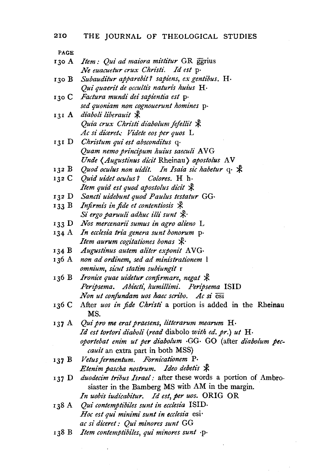| 130 A <i>Item: Qui ad maiora mittitur</i> GR ggrius |  |
|-----------------------------------------------------|--|
| Ne euacuetur crux Christi. Id est p.                |  |

- 130 B *Subauditur apparebit 7 sapiens, ex gentibus.* H· *Qui quaerit de occultis natun"s huius* H·
- 130 C *Factura mundi dei sapientia est* p· *sed quoniam non cognouerunt homines* p·
- 131 A diaboli liberauit \* *Quia crux Christi diabolum fefellit*  $\mathcal{R}$ *Ac si dicere! .. : Videte eos per quos* L
- 131 D *Christum qui est absconditus* q· *Quam nemo principum huius saeculi* A VG *Unde (Augustinus dicit Rheinau) apostolus AV*
- 132 B Quod oculus non uidit. In Isaia sic habetur  $q \cdot \text{ } \text{\&}$
- 132 C *Quid uidet oculus 7 Colores.* H h· *Item quid est quod apostolus dicit*  $\mathcal{R}$
- 132 D *Sancti uidebunt quod Paulus testatur* GG·
- 133 B Infirmis in fide et contentiosis  $\,$ *Si ergo paruuli adhuc illi sunt*  $\mathcal{R}$
- 133 D *Nos mercenan·i sumus in agro alieno* L
- 134 A *In ecclesia tria genera sunt bonorum* p· *Item aurum cogitationes bonas*  $\mathcal{R}$
- 134 B Augustinus autem aliter exponit AVG·
- *non ad ordinem, sed ad ministrationem* l *omnium, sicut statim subiungit* r
- 136 B *Ironice quae uidetur confirmare, negat*  $\mathcal{R}$ Peripsema. Abiecti, humillimi. Peripsema *ISID Non ut confundam uos haec scribo. Ac si*  $\overline{e}$ si
- 136 C After *uos in fide Christi* a portion is added in the Rheinau MS.
- 137 A *Qui pro me erat praesens, litterarum mearum* H· *Id est tortori diaboli (read* diabolo *with ed. pr.) ut* H· *oportebat enim ut per diabo!um* ·GG· GO (after *diabolum peccauit* an extra part in both MSS)
- 137 B  $V$ etus fermentum. Fornicationem P. *Etenim pascha nostrum. Ideo debetis* \*
- 137 D *duodecim tribus Israel*: after these words a portion of Ambrosiaster in the Bamberg MS with AM in the margin. . In uobis iudicabitur. Id est, per uos. ORIG OR
- I38 A *Qui contemptibiles sunt in ecclesia* ISID· *Hoc est qui minimi sunt in ecclesia* esi *ac si dt"ceret : Qui minores sunt* GG
- 138 B Item contemptibiles, qui minores sunt *p*.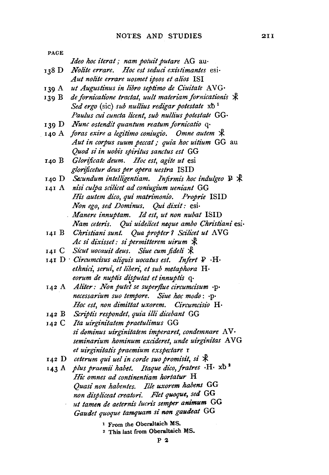| <b>PAGE</b> |                                                                                     |
|-------------|-------------------------------------------------------------------------------------|
|             | <i>Ideo hoc iterat ; nam potuit putare AG au-</i>                                   |
| 138 D       | Nolite errare. Hoc est seduci existimantes esi-                                     |
|             | Aut nolite errare uosmet ipsos et alios ISI                                         |
|             | 139 A ut Augustinus in libro septimo de Ciuitate AVG.                               |
|             | 139 B de fornicatione tractat, uult materiam fornicationis $\mathcal K$             |
|             | Sed ergo (sic) sub nullius redigar potestate $xb^1$                                 |
|             | Paulus cui cuncta licent, sub nullius potestate GG.                                 |
|             | 139 D Nunc ostendit quantum reatum fornicatio q.                                    |
|             | 140 A foras exire a legitimo coniugio. Omne autem *                                 |
|             | Aut in corpus suum peccat ; quia hoc uitium GG au                                   |
|             | Quod si in uobis spiritus sanctus est GG                                            |
| 140 B       | Glorificate deum. Hoc est, agite ut esi                                             |
|             | glorificetur deus per opera uestra ISID                                             |
|             | 140 D Secundum intelligentiam. Infirmis hoc indulgeo $\mathbb{P} \nless \mathbb{R}$ |
|             | 141 A nisi culpa scilicet ad coniugium ueniant GG                                   |
|             | His autem dico, qui matrimonio. Proprie ISID                                        |
|             | Non ego, sed Dominus. Qui dixit: esi-                                               |
|             | Manere innuptam. Id est, ut non nubat ISID                                          |
|             | Nam ceteris. Qui uidelicet neque ambo Christiani esi-                               |
|             | 141 B Christiani sunt. Qua propter ? Scilicet ut AVG                                |
|             | Ac si dixisset: si permitterem uirum *                                              |
|             | 141 C Sicut uocauit deus. Siue cum fideli *                                         |
|             | 141 D Circumcisus aliquis uocatus est. Infert P .H.                                 |
|             | ethnici, serui, et liberi, et sub metaphora H·                                      |
|             | eorum de nuptis disputat et innuptis q.                                             |
|             | 142 A Aliter: Non putet se superflue circumcisum .p.                                |

- 142 A *Aliter: Non putet se superflue circu necessarium suo tempore. Siue hoc modo* : ·p· *Hoc est, non dimittat uxorem. Circumcisio* H·
- I42 B *Scriptis responde!, quia illi dicebant* GG
- I42 C *Ita uirginitatem praetulimus* GG *si dominus uirginitatem imperaret, condemnare* A V · *seminarium hominum excideret, unde uirginitas* A VG *et uirginitatis praemium exspectare* r
- 142 D *ceterum qui uel in corde suo promisit, si*  $*$
- 143 A *plus praemii habet. Itaque dico, fratres* ·H· xb<sup>2</sup> *Hi'c omnes ad continentiam hortatur* H *Quasi non habentes. Ille uxorem habens* GG *non displiceat creatori. Flet quoque, sed* GG *ut tamen de aeternis lucris semper animum* GG *Gaudet quoque tamquam si non gaudeat* GG
	- 1 From the Oberaltaich MS.
	- 2 This last from Oberaltaich MS.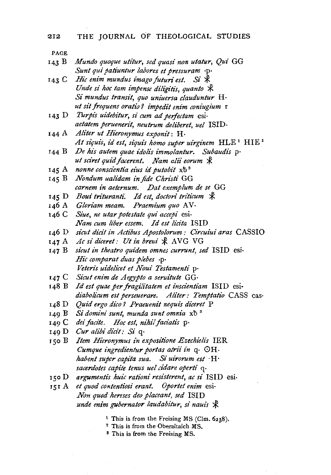| 143 B | Mundo quoque utitur, sed quasi non utatur, Qui GG |  |
|-------|---------------------------------------------------|--|
|       | Sunt qui patiuntur labores et pressuram ·p·       |  |

- 143 C Hic enim mundus imago futuri est. Si \* *Unde si hoc tam impense diligitis, quanto*  $\mathcal{R}$ *Si mundus transit, quo uniuersa clauduntur* H·  $ut$  sit frequens oratio? impedit enim coniugium **r**
- 143 D *Turpis uidebitur, si cum ad perfectam* esi · *aetatem peruenerit, neutrum deliberet, uel* ISID·
- 144 A *Aliter ut Hieronymus exponit:* H· At siquis, id est, siquis homo super uirginem **HLE**<sup>1</sup> HIE<sup>2</sup>
- 144 B *De his autem quae idolis immolantur. Subaudis* p· *ut sciret quid facerent. Nam alii eorum*  $\mathcal{R}$
- 145 A *nonne conscientia eius id putabit* xb 3
- 145 B *Nondum ualidam in fide Chn"sti* GG *carnem in aeternum. Dat exemplum de se* GG
- 145 D Boui trituranti. Id est, doctori triticum  $\mathcal{R}$
- 146 A Gloriam meam. Praemium quo AV.
- *Siue, ne utar potestate qui accepi* esi· *Nam cum liber essem. Id est licita* ISID
- 146 D *sicut dicit in Actibus Apostolorum: Circuiui aras* CASSIO
- 147 A Ac si diceret: Ut in breui  $\frac{1}{2}$  AVG VG
- 147 B *si'cut in theatro quidem omnes currunt, sed* ISID es1· *Hie comparat duas plebes* ·P· *Veteris uidelicet et Noui Testamenti* p·
- 147 C Sicut enim de Aegypto a seruitute GG·
- *Id est quae per fragilitatem et inscientiam* ISID esi· *diabolicum est perseuerare. Aliter: Temptatio* CASS cas·
- 148 D *Quid ergo dico 7 Praeuenit nequis dicere/* P
- 149 B Si domini sunt, munda sunt omnia xb<sup>3</sup>
- 149 c *deifacite. Hoc est, nihiljaciati's* p·
- 149 D Cur alibi dicit: Si q·
- T50 B *Item Hieronymus in expositione Ezechielis* IER *Cumque ingredientur portas atrii in* q.  $\bigcirc$ H. *habent super capita sua. Si uirorum est* · H · *sacerdotes capite tenus uel cidare operti* q·
- 150 D argumentis huic rationi resisterent, ac si ISID esi-
- 151 A et quod contentiosi erant. Oportet enim esi-*Non quod hereses deo placeant, sed* ISID *unde enim gubernator laudabitur, si nauis*  $\mathcal{R}$ 
	- <sup>1</sup> This is from the Freising MS (Clm. 6238).
	- <sup>2</sup>This is from the Oberaltaich MS.
	- 3 This is from the Freising MS.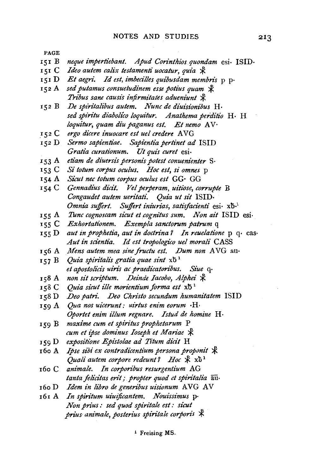- rsr B *neque impertiebant. Apud Corinthios quondam* esi· ISID·
- *ISI* C *Ideo autem calix testamenti uocatur, quia* ;:!<:
- rsr D *Et aegri. Id est, imbecilles quibusdam membris* p p·
- 152 A sed putamus consuetudinem esse potius quam  $~\mathcal{\Re}$ *Tribus sane causis infirmitates adueniunt*  $\mathcal{R}$
- *De spiritalibus autem. Nunc de diuisionibus* H·  $152B$ *sed spiritu diabolico loquz"tur. Anathema perditio* H· H *loquitur, quam diu paganus est. Et nemo* AV·
- *ergo dicere inuocare est uel credere* A VG 152 C
- 152 D *Sermo sapientiae. Sapientia pertinet ad* ISID *Gratia curationum. Ut qui's curet* esi·
- rs3 A *etiam de diuersis personis potest conuenienter* S·
- *IS3* c *Si totum corpus oculus. Hoc est, si omnes* p
- *IS4* A *Sicut nee totum corpus oculus est* GG· GG
- *IS4* c *Gennadius dicit. Vel perperam, uitiose, corrupte* B *Congaudet autem uen"tati. Quia ut sit* ISID· *Omnia suffert. Suffert iniurias, satisfacienti* esi· xb·<sup>1</sup>
- *ISS* A *Tunc cognoscam sicut et cognitus sum. Non ait* ISID esi·
- xss c *Exhortationem. Exempla sanctorum patrum* q
- *ISS* D *aut in prophetia, aut in doctrina? In reuelatione* p q· cas· Aut in scientia. Id est tropologico uel morali CASS
- *Mens autemmea sinefructu est. Dum non* AVG au·
- 157 B *Quia spiritalis gratia quae sint*  $x\bar{b}$ <sup>1</sup> *et apostolz'cis uin's ac praedicatoribus. Siue* q·
- 158 A non sit scriptum. Deinde Iacobo, Alphei **\***
- rs8 c *Quia sicut ille morientium forma est*  $x\bar{b}$ <sup>1</sup>
- IS8 D *Deo patn·. Deo Christo secundum humanitatem* ISID
- *IS9* A *Qua nos uicerunt: uirtus enim eorum* ·H· *Oportet enim illum regnare. Istud de homine* H·
- *IS9* B *maxime cum et spiritus prophetarum* P *cum et ipse dominus Ioseph et Mariae*  $\mathcal{R}$
- 159 D expositione Epistolae ad Titum dicit **H**
- 16o A *Ipse sibi ex contradicentium persona proponit*  $\mathcal{R}$ *Quali autem corpore redeunt? Hoc*  $\mathcal{R}$  xb<sup>1</sup>
- 160 C animale. In corporibus resurgentium AG *tanta felicitas erit ; propter quod et spiritalia*  $\overline{au}$ .
- r6o D *Idem in libro de generibus uisionum* AVG AV
- 161 A *In spiritum uiuijicantem. Nouissimus* p· *Non prius: sed quod spiritale est: sicut prius animale, posterius spiritale corporis*  $*$

1 Freising MS.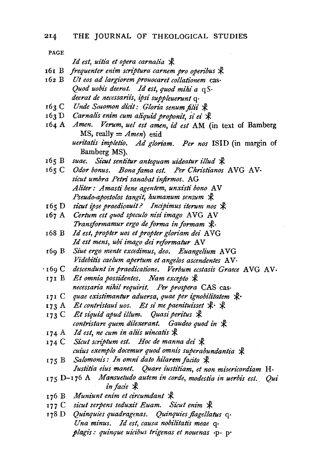*Id est, uitia et opera carnalia*  $\mathcal{R}$ 

- 161 B *frequenter enim scriptura carnem pro operibus*  $\mathcal{R}$
- 162 B *Ut eos ad largiorem prouocaret collationem* cas· *Quod uobis deerat. Id est, quod mihi a* q *S· deerat de nel'essariis, ipsi suppleuerunt* q·
- 163 C Unde Satomon dicit: Gloria senum filii  $\mathcal{R}$
- $162$  *Carnalis enim cum aliquid proponit, si ei*  $\cancel{\mathcal{R}}$
- *Amen. Verum, uel est amen, id est* AM (in text of Bamberg MS, really  $=$  *Amen*) esid *ueritatis impleti'o. Ad gloriam. Per nos* ISID (in margin of Bamberg MS).
- $165 B$ *suae. Sicut sentitur antequam uideatur illud* ~
- $165 C$ Odor bonus. Bona fama est. Per Christianos AVG AV· *sicut umbra Petri sanabat injirmos.* AG *Aliter: Amasti bene agentem, unxisti bono* A V *Pscudo-apostolos tangit, humanum sensum* ~
- 165 D *sicut ipse praedicauit? Incipimus iterum nos*  $\mathcal{R}$
- 167 A *Certum est quod speculo nisi imago* AVG AV *Transformamur ergo de forma in formam*  $\mathbb{X}$ .
- 168 B *Id est, propter uos et propter gloriam dei* AVG Id est mens, ubi imago dei reformatur AV
- 169 B *Siue ergo mente excedimus, deo. Euangelium* AVG *Videbitis caelum apertum et angelos ascendentes* AV·
- '169 C *descendunt in praedicatione. Verbum ecstasis Graece* AVG AV·
- 171 B Et omnia possidentes. Nam excepto  $\mathcal X$ *necessaria nihil requi'rit. Per prospera* CAS cas·
- 171 C quae existimantur aduersa, quae per ignobilitatem  $\mathcal{K}$ ·
- 173 A Et contristaui uos. Et si me paenituisset  $\mathcal{R} \cdot \mathcal{R}$
- 173 C Et siquid apud illum. Quasi peritus  $\mathcal{R}$ *contristare quem dilexerant. Gaudeo quod in*  $\mathcal{R}$
- $_{174}$  A Id est, ne cum in aliis uincatis  $\cancel{\mathcal{R}}$
- 174 C Sicut scriptum est. Hoc de manna dei  $\mathcal X$ *cuius exemplo docemur quod omnis superabundantia*  $\mathcal{R}$
- 175 B *Salomonis: In omni dato hilarem facito* \* *Iustitia eius manet. Quare iustitiam, et non misericordiam* H·
- 175 D-176 A *.Mansuetudo autem in corde, modestia in uerbis est .. Qui in facie* \*
- 176 B Muniunt enim et circumdant  $*$
- 177 C sicut serpens seduxit Euam. Sicut enim  $\mathcal{R}$
- r78 D *Quinquies quadragenas. Quinquies jlagellatus* q· *Una minus. Id est, causa nobilitatis meae* q. *plagi's: quinque uicibus trigenas et nouenas* ·p· p·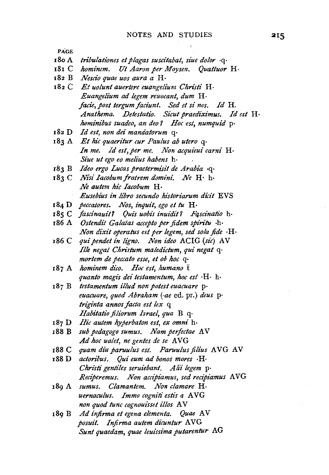- 18o A *tri'bulationes et plagas suscitabat, siue dolor* ·q·
- 181 C *hominem. Ut Aaron per Moysen. Quattuor* H·
- 182 B *Nescio quae uos aura a* H·
- 182 C *Et uolunt auertere euangelium Christi* H· *Euangelium ad legem reuocant, dum* H· *facie, post tergum faciunt. Sed et si nos. Id* H. *Anathema. Detestatio. Sicut praediximus. Id est* H· *hominibus suadeo, an deo? Hoc est, numquid* p·
- 182 D *Id est, non dei mandatorum* q·
- 183 A *Et hie quaeritur cur Paulus ab utero* q· In me. Id est, per me. Non acquieui carni H· *Siue ut ego eo melius habens* h·
- 183 B *Ideo ergo Lucas praetermisit de Arabia* ·q·
- 183 C *Nisi Iacobumfratrem domini. Ne* H· h· *Ne autem hic Iacobum* H. *Eusebius in .libro secundo historiarum dicit* EVS
- 184 D *peccatores. Nos, inquit, ego et tu* H·
- 185 C *fascinauit1 Quis uobis inuidit 7 Fqscinatio* h·
- 186 A *Ostendt't Galatas accepto per fidem spiritu* ·h· *Non dixit operatus est per legem, sed sola fide*  $\cdot$ H $\cdot$
- 186 C *qui pendet in ligno. Non ideo* ACIG *(sic)* AV *Ille negat Christum maledictum, qui negat* q· *mortem de peccato esse, et ob hoc* q.
- 187 A *hominem dico. Hoc est, humano* t *quanto magi's dei testamentum, hoc est* ·H· h·
- 187 B *testamentum illud non potest euacuare* p· *euacuare, quod Abraham (-ae* ed. pr.) *deus* p· *triginta annos facta est lex* q *Habitatio filiorum Israel, qua* B q·
- 187 D *Hie autem hyperbaton est, ex omni* h·
- 188 B *sub pedagogo sumus. Nam perjectae* A V Ad hoc ualet, ne gentes de se AVG
- 188 C *quam diu paruulus est. Paruulus filius* AVG A V
- x88 D *actoribus. Qui eum ad bonos mores* ·H· *Christi gentiles seruiebant. Alii legem* p· *Reczperemus. Non acczpiamus, sed recipiamus* A VG
- 189 A *sumus. Clamantem. Non clamare* H· *uernaculus. Immo cogniti estis a AVG non quod tunc cognouz'sset illos* A V
- 189 B *Ad injirma et egena elementa. Quae* AV *posuit. Infirma autem dicuntur* A VG *Sunt quaedam, quae leuissima putarentur* AG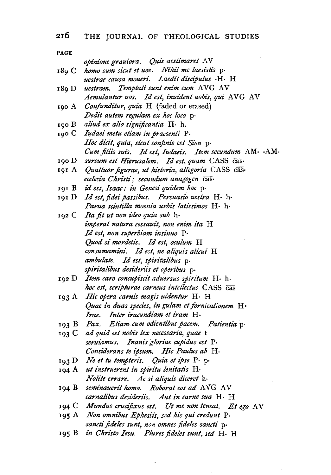## **216** THE JOURNAL OF THEOLOGICAL STUDIES

| PAGE  |                                                           |
|-------|-----------------------------------------------------------|
|       | opinione grauiora. Quis aestimaret AV                     |
| 189 C | homo sum sicut et uos. Nihil me laesistis p.              |
|       | uestrae causa moueri. Laedit discipulus · H· H            |
| 189 D | uestram. Temptati sunt enim cum AVG AV                    |
|       | Aemulantur uos. Id est, inuident uobis, qui AVG AV        |
| 190 A | Confunditur, quia H (faded or erased)                     |
|       | Dedit autem regulam ex hoc loco p.                        |
| 190 B | aliud ex alio significantia H. h.                         |
| 190 С | Iudaei metu etiam in praesenti P.                         |
|       | Hoc dicit, quia, sicut confinis est Sion p.               |
|       | Cum filiis suis. Id est, Iudaeis. Item secundum AM· · AM· |
| 190 D | sursum est Hierusalem. Id est, quam CASS cas-             |
| 191 A | Quattuor figurae, ut historia, allegoria CASS cas-        |
|       | ecclesia Christi; secundum anagogen cas.                  |
| 191 В | id est, Isaac: in Genesi quidem hoc p.                    |
| 191 D | Id est, fidei passibus. Persuasio uestra H. h.            |
|       | Parua scintilla moenia urbis latissimos H· h·             |
| 192 C | Ita fit ut non ideo quia sub h.                           |
|       | imperat natura cessauit, non enim ita H                   |
|       | Id est, non superbiam insinuo P.                          |
|       | Quod si mordetis. Id est, oculum H                        |
|       | consumamini. Id est, ne aliquis alicui H                  |
|       | ambulate. Id est, spiritalibus p.                         |
|       | spiritalibus desideriis et operibus p.                    |
| 192 D | Item caro concupiscit aduersus spiritum H. h.             |
|       | hoc est, scripturae carneus intellectus CASS cas          |
| 193 A | Hic opera carnis magis uidentur H. H                      |
|       | Quae in duas species, in gulam et fornicationem H.        |
|       | Irae. Inter iracundiam et iram H.                         |
| 193 B | Pax. Etiam cum odientibus pacem. Patientia p.             |
| 193 C | ad quid est nobis lex necessaria, quae t                  |
|       | seruiamus. Inanis gloriae cupidus est P.                  |
|       | Considerans te ipsum. Hic Paulus ab H.                    |
| 193 D | Ne et tu tempteris. Quia et ipse P. p.                    |
| 194 A | ut instruerent in spiritu lenitatis H.                    |
|       | Nolite errare. Ac si aliquis diceret h.                   |
| 194 B | seminauerit homo. Roborat eos ad AVG AV                   |
|       | carnalibus desideriis. Aut in carne sua H. H              |
|       | 194 C Mundus crucifixus est. Ut me non teneat. Et ego AV  |
|       | 195 A Non omnibus Ephesiis, sed his qui credunt P.        |
|       | sancti fideles sunt, non omnes fideles sancti p.          |
| 195 B | in Christo Iesu. Plures fideles sunt, sed H. H            |

 $\bar{z}$ 

 $\mathcal{F}^{\mathcal{G}}_{\mathcal{G}}$  and

the contract of the contract of the contract of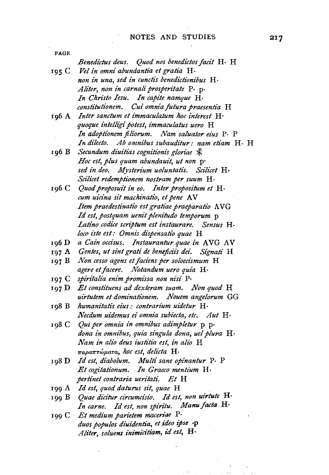PAGE *Benedictus deus. Quod nos benedictos jacit* H· H  $Vel$  in omni abundantia et gratia H· 195 C non in una, sed in cunctis benedictionibus H. *Aliter, non in carnaliprosperitate* p. p· *In Chnsto Iesu. In capite namque* H· *constitutionem. Cui omnia futura praesentia* **H**  196 A *Inter sanctum et immaculatum hoc interest* H· *quoque intelligi potest, immaculatus uero* H *In adopti'onem filiorum. Nam salualor eius* p. P *In dilecto. Ab omnibus subauditur: nam etiam* H· H Secundum diuitias cognitionis gloriae  $\mathcal{\hat{K}}$ 196 B *Hoc est, plus quam abundauit, ut non* p· *sed in deo. .Mjsterium uoluntatzs. Scilicet* H· *Scilicet redemptionem nostram per suum* H· *Quod proposuit in eo. Inter propositum et* H· 196 c *cum uicina sit machinatio, et pene* A V *Item praedestinatio est gratiae praeparatio* A VG *Id est, postquam uenit plenitudo temporum* p Latino codice scriptum est instaurare. Sensus H*loco zste est: Omnis dispensatio quae* H *a Cain occisus. Instaurantur quae in* A VG A V 196 D 197 A *Gentes, ut sint grati de beneficizs dei. Signati* H 197 B *Non cesso agens et faciens per soloecismum* H *agere etjacere. Notandum uero quia* H· 197 c *spiritalia enim promzssa non nisi* P· 197 **D**  *Et constituens ad dexteram suam. Non quod* H *uirtutem et dominatt'onem. Nouem angelorum* GG 198 B humanitatis eius: contrarium uidetur H· *Necdum uidemus ei omnia subiecta, etc. Aut* H· *Qui per omnia in omnibus adimpletur* p p· 198 c *dona in omnibus, quia singula dona, uel plura* H· *Nam in alio deus iustitia est, in alio* H *7rapa1rrwp.ara, hoc est, delicta* H· *Id est, diabolum. Multi sane opinantur* p. P 198 D *Et cogitationum. In Graeco mentium* H· *pertinet contraria uen'tati. Et* H 199 A *Id est, quod daturus sit, quae* H . *Quae dicitur circumcisio. Id est, non uirtute* **H·**  199 B *In carne. Id est, non spiritu. Manu facta* **H·**  *Et medium parietem maceriae* P· 199 c *duos populos diuz"dentia, et ideo ipse* ·P *Aliter, soluens inimicitiam, id est, H*·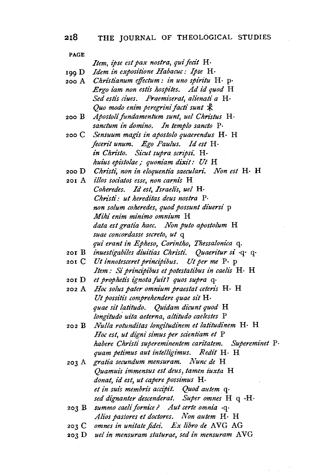# **218** THE JOURNAL OF THEOLOGICAL STUDIES

#### PAGE

*Item, ipse est pax nostra, qui fecit* H-

199 D *Idem in expositione Habacuc: Ipse* H·

- 2oo A *Christianum effictum: in uno spiritu* H· p· *Ergo iam non estis hospites. Ad id quod* H Sed estis ciues. Praemiserat, alienati a H· *Quo modo enim peregrini facti sunt*  $\mathcal{R}$
- 200 B *Apostolijundamentum sunt, uel Christus* H· *sanctum in domino. In templo sancto* P·
- 200 c *Sensuum magis in apostolo quaerendus* H· H *fecen"t unum. Ego Paulus. Id est* H· *in Christo. Sicut supra scripsi.* H· *huius epzstolae* ; *quoniam dixit: Ut* H
- 2ooD *Chnsti, non in eloquentia saeculari. Non est* H· H
- 201 A *illos sociatos esse, non carnis* H *Coheredes. Id est, Israelis, uel* H· *Christi: ut hereditas deus nostra* P. *non solum coheredes, quod possunt diuers£* p *Mihi enim mini'mo omnium* H *data est gratia haec. Non puto apostolum* H *suae concordasse secreto, ut* q *qui erant in Epheso, Corintho, Thessalonica q.*
- 201 B *inuestigabiles diuitias Christi. Quaeritur si* q· q·
- 201 c *Ut innotesceret principibus. Ut per me* p. p *Item: Si principibus et potestatibus in caelis* H· H
- 201 D *et prophetis ignotajuit? quos supra* q·
- 202 A *Hoc solus pater omnium praestat ceten·s* H· H *Ut possitis comprehendere quae sit* H. quae sit latitudo. Quidam dicunt quod H *longitudo. uita aeterna, altitudo caelestes* P
- 202 B *Nulla rotunditas longitudinem et latitudinem* H· H *Hoc est, ut digni simus per scientiam et* P *habere Christi supereminentem can"tatem. Supereminet* P· *quam petimus aut intelligimus. Redit* H· H
- 203 A *gratia secundum mensuram. Nunc de* H *Quamuis immensus est deus, tamen iuxta* H *donat, id est, ut capere possimus* H· *et in suis membris accip£t. Quod autem* q· *sed dignanter descenderat. Super omnes* H q ·H·
- 203 B *summo caelifornice? Aut certe omnia* ·q· *Alios pas/ores et doctores. Non autem* H· H
- *omnes in unitate fidei. Ex libro de* AVG AG
- 203 c 203 D *uel in mensuram staturae, sed in mensuram* A VG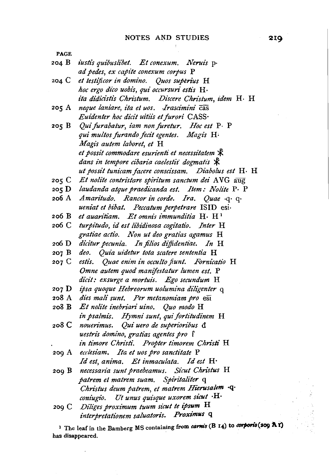PAGE 204 B *i'usti's quibuslibet. Et conexum. Neruis* p· *ad pedes, ex capz"te conexum corpus.* P 204 C *et testificor in domino. Quos superius* H *hoc ergo dii:o uobis, qui occursuri estis* H· *ita didicistis Christum. Discere Christum, idem* H· H 205 A *neque laniare, ita et uos. Jrascimini* cas  $E$ uidenter hoc dicit uitiis et furori CASS· 205 B *Quifurabatur, iam nonfuretur. Hoc est* P· P *qui multos furando fecit egentes. Magis* H~ *Magz's autem taboret, et* H 205 C *Et nolite contristare spiritum sanctum dei* AVG aug<br>205 D *laudanda atque praedicanda est. Item: Nolite* P· P 206 A *Amaritudo. Rancor in corde. Ira. Quae* ·q· q· et possit commodare esurienti et necessitatem  $\mathcal{R}$ dans in tempore cibaria caelestis dogmatis  $\mathcal{\hat{X}}$ *ut possit tunicamfacere consct'ssam. Diabolus est* H· H *Et nolite contn'stare spin"tum sanctum dei* A VG aug *ueniat et bibat. Peccatum perpetrare* ISID esi· 206 B *et auan"tiam. Et omm's immunditia* H· H <sup>1</sup> 206 C *turpitudo, id est libidinosa cogitatio. Inter* H gratiae actio. Non ut deo gratias agamus H 206 D dicitur pecunia. In filios diffidentiae. In H 207 B *deo. Quia u;detur Iota scatere sententia* H 207 C estis. *Quae enim in occulto fiunt. Fornicatio* H *Omne autem quod manifestatur lumen est.* P dicit: exsurge a mortuis. Ego secundum H 207 D *ipsa quoque Hebreorum uolumina diligenter* q 208 A *dies mali sunt. Per metanomiam pro* eSi 208 B *Et nolite inebriari uino. Quo modo* H in psalmis. Hymni sunt, qui fortitudinem H 208 C *nouen"mus. Qui uero de supen"on"bus* d *uestris domino, gratias agentes pro* f *in timore Chn"sti. Propter timorem Christi* H 209 A *ecclesiam. Ita et uos pro sanctitate* P *Id est, anima. Et inmaculata. Id est* H· 209 B *necessana sunt praebeamus. Sii:ut Christus* H *patrem et matrem suam. Spiritaliter* q *Christus deum patrem, et matrem Hierusalem* ·q· *coniugio. Ut unus quisque uxorem sicut* ·H· 209 C *Diliges proximum tuum sicut te ipsum* **H**   $interpretationem~saluatoris.$  Proximus **q** 

<sup>1</sup> The leaf in the Bamberg MS containing from carms (B 14) to corporis(209 A i) has disappeared.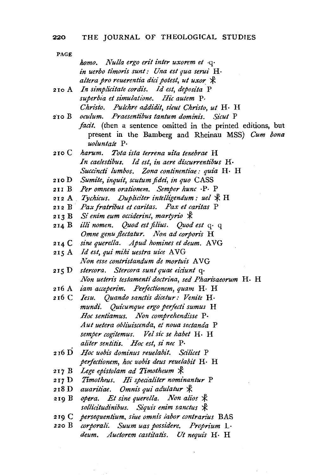| PAGE  |                                                              |
|-------|--------------------------------------------------------------|
|       | homo. Nulla ergo erit inter uxorem et .q.                    |
|       | in uerbo timoris sunt: Una est qua serui H.                  |
|       | altera pro reuerentia dici potest, ut uxor *                 |
| 210 A | In simplicitate cordis. Id est, deposita P                   |
|       | superbia et simulatione. Hic autem P.                        |
|       | Christo. Pulchre addidit, sicut Christo, ut H. H.            |
|       | 210 B oculum. Praesentibus tantum dominis. Sicut P           |
|       | facit. (then a sentence omitted in the printed editions, but |
|       | present in the Bamberg and Rheinau MSS) Cum bona             |
|       | uoluntate P.                                                 |
|       | 210 C harum. Tota ista terrena uita tenebrae H               |
|       | In caelestibus. Id est, in aere discurrentibus H.            |
|       | Succincti lumbos. Zona continentiae: quia H. H               |
| 210 D | Sumite, inquit, scutum fidei, in quo CASS                    |
| 211 B | Per omnem orationem. Semper hunc ·P· P                       |
|       | 212 A Tychicus. Dupliciter intelligendum: uel $\mathbb R$ H  |
|       | 212 B Pax fratribus et caritas. Pax et caritas P             |
|       | 213 B Si enim eum occiderint, martyrio *                     |
| 214 B | illi nomen. Quod est filius. Quod est q. q                   |
|       | Omne genu flectatur. Non ad corporis H                       |
| 214 C | sine querella. Apud homines et deum. AVG                     |
| 215 A | Id est, qui mihi uestra uice AVG                             |
|       | Non esse contristandum de mortuis AVG                        |
| 215 D | stercora. Stercora sunt quae eiciunt q.                      |
|       | Non ueteris testamenti doctrina, sed Pharisaeorum H. H       |
| 216 A | iam acceperim. Perfectionem, quam H. H                       |
| 216 C | Iesu. Quando sanctis dicetur: Venite H.                      |
|       | mundi. Quicumque ergo perfecti sumus H                       |
|       | Hoc sentiamus. Non comprehendisse P.                         |
|       | Aut uetera obliuiscenda, et noua sectanda P                  |
|       | semper cogitemus. Vel sic se habet H. H                      |
|       | aliter sentitis. Hoc est, si nec P.                          |
| 216 D | Hoc uobis dominus reuelabit. Scilicet P                      |
|       | perfectionem, hoc uobis deus reuelabit H. H                  |
| 217 B | Lege epistolam ad Timotheum $\mathcal X$                     |
|       | 217 D Timotheus. Hi specialiter nominantur P                 |
| 218 D | auaritiae. Omnis qui adulatur *                              |
| 219 B | opera. Et sine querella. Non alios &                         |
|       | sollicitudinibus. Siquis enim sanctus &                      |
|       | 219 C persequentium, siue omnis labor contrarius BAS         |
| 220 B | corporali. Suum uas possidere. Proprium L.                   |
|       | deum. Auctorem castitatis. Ut nequis H. H                    |

 $\mathcal{F}=\mathcal{F}$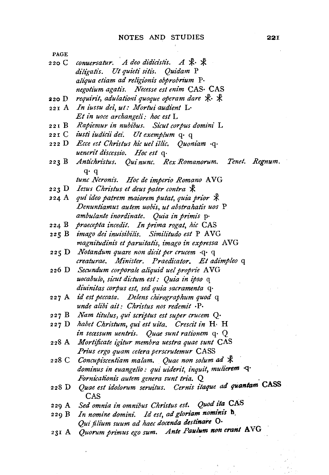- 220 C conuersatur. A deo didicistis. A \* \* diligatis. Ut quieti sitis. Quidam P *alt'qua etiam ad religionis obprobrium* p. negotium agatis. Necesse est enim CAS· CAS
- 220 D *requirit, adulationi quoque operam dare*  $\mathcal{K} \cdot \mathcal{K}$
- 221 A *In iussu dez', ut: Mortui audient* L· *Et in uoce archangeli: hoc est* L
- 221 B *Rapiemur in nubibus. Sicut corpus domini* L
- 
- 221 c 222 D *z'usti iudidi dez: Ut exemplum* q· q *Ecce est Chn"stus hie uel illii:. Quoni'am* ·q· *uenerit discessio. Hoc est q-*
- 223 B Antichristus. Qui nunc. Rex Romanorum. Tenet. Regnum. q· q tunc Neronis. Hoc de imperio Romano AVG
- 223 D *Iesus Christus et deus pater contra*  $\mathcal{R}$
- 224 A *qui ideo patrem maiorem putat, quia prior*  $\mathcal{R}$ *Denuntiamus autem uobz"s, ut abstrahatis uos* P *ambulante inordinate. Quia in primis* p·
- 224 B *praecepta incedit. In prima rogat, hic* CAS
- 2 2 5 B *imago dei inuisibi'lis. Similitudo est* P A VG *magnitudinis et paruitatis, imago in expressa* A VG
- 225 D *Notandum quare non dzi:it per crucem* ·q· q *creaturae. Minister. Praedicator. Et adimpleo* q
- 226 D *Secundum corporate aliquid uel proprie* AVG *uocabulo, sicut dictum est: Quia in ipso* q *diuinitas corpus est, sed quia sacramenta* q·
- 2 2 7 A *id est peccata. Delens chirographum quod* q *unde alibi ail: Chn"stus nos redemit* .p.
- 227 B *Nam titulus, qui scriptus est super crucem* Q·
- 227 D habet Christum, qui est uita. Crescit in H. H *in secessum uentn"s. Quae sunt rationem* q· Q
- 228 A *Mortijicate igitur membra uestra quae sunt* CAS *Prius ergo quam cetera perscrutemur* CASS
- 228 C Concupiscentiam malam. Quae non solum ad  $*$ *dominus in euangelio: qui uiderit, inquit, mulierem* ·q· *Fornicationis autem genera sunt tria.* Q
- 228 D Quae est idolorum seruitus. Cernis itaque ad quantam CASS CAS
- 229 A *Sed omnia in omnz'bus Christus est. Quod ita* CAS
- 229 B *In nomine domini. Id est, ad gloriam nominis* ti. *Qui filium suum ad haec docenda destinare* 0·
- 231 A Quorum primus ego sum. Ante Paulum non erant AVG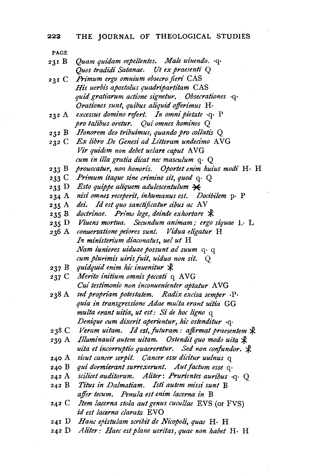| 231 B   | Quam quidam repellentes. Male uiuendo. .q.                 |
|---------|------------------------------------------------------------|
|         | Quos tradidi Satanae. Ut ex praesenti Q                    |
| 231 $C$ | Primum ergo omnium obsecro fieri CAS                       |
|         | His uerbis apostolus quadripartitam CAS                    |
|         | quid gratiarum actione signetur. Obsecrationes q.          |
|         | Orationes sunt, quibus aliquid offerimus H.                |
| 232 A   | excessus domino refert. In omni pietate .q. P              |
|         | pro talibus oretur. Qui omnes homines Q                    |
|         | 232 B Honorem deo tribuimus, quando pro collatis Q         |
|         | 232 C Ex libro De Genesi ad Litteram undecimo AVG          |
|         | Vir quidem non debet uelare caput AVG                      |
|         | cum in illa gratia dicat nec masculum q. Q                 |
| 233 B   | prouocatur, non honoris. Oportet enim huius modi H. H      |
| 233 C   | Primum itaque sine crimine sit, quod $q \cdot Q$           |
| 233 D   | Esto quippe aliquem adulescentulum $*$                     |
| 234 A   | nisi omnes receperit, inhumanus est. Docibilem p. P        |
| 235 A   | dei. Id est quo sanctificatur cibus ac AV                  |
|         | 235 B doctrinae. Primo lege, deinde exhortare &            |
| 235 D   | Viuens mortua. Secundum animam; ergo siquae L. L.          |
| 236 A   | conuersatione peiores sunt. Vidua eligatur H               |
|         | In ministerium diaconatus, uel ut H                        |
|         | Nam iuniores uiduae possunt ad suum q. q                   |
|         | cum plurimis uiris fuit, uidua non sit. Q                  |
| 237 B   | quidquid enim hic inuenitur &                              |
|         | 237 C Merito initium omnis peccati q AVG                   |
|         | Cui testimonio non inconuenienter aptatur AVG              |
| 238 A   | sed propriam potestatem. Radix excisa semper ·P·           |
|         | quia in transgressione Adae multa erant uitia GG           |
|         | multa erant uitia, ut est: Si de hoc ligno q               |
|         | Denique cum dixerit aperientur, hic ostenditur .q.         |
|         | 238 C Veram uitam. Id est, futuram: affirmat praesentem &  |
| 239 A   | Illuminauit autem uitam. Ostendit quo modo uita &          |
|         | uita et incorruptio quaereretur. Sed non confundor. *      |
| 240 A   | sicut cancer serpit. Cancer esse dicitur uulnus q          |
| 240 B   | qui dormierant surrexerunt. Aut factum esse q.             |
|         | 242 A scilicet auditorum. Aliter: Prurientes auribus .q. Q |
| 242 B   | Titus in Dalmatiam. Isti autem missi sunt B                |
|         | affer tecum. Penula est enim lacerna in B                  |
| 242 C   | Item lacerna stola aut genus cucullae EVS (or FVS)         |
|         | id est lacerna clarata EVO                                 |
|         |                                                            |

- 241 D *Hanc epistulam scn'bit de Nicopoli, quae* H· H
- 242 D *Aliter: Haec estplane ueritas, quae non habet* H· H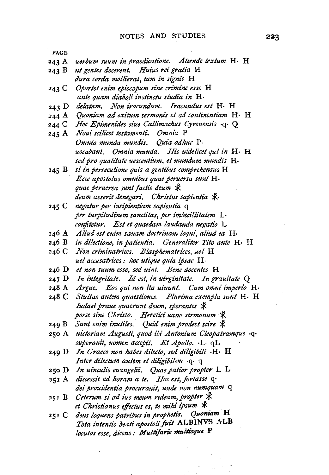- 243 A *uerbum suum in praedicatione. Attende textum* H· H
- 243 B *ut gentes docerent. Huius rei gratia* H *dura corda mollierat, tam in signis* H
- 243 c *Oportet enim episcopum sine crimine esse* H *ante quam diaboli instinctu studia in* H·
- 243 D *delatam. Non iracundum. Iracundus est* H· H
- 244 A *Quoniam ad exitum sermonis et ad continentiam* H · H
- 244 c *Hoc Epimenides siue Callimachus Cyrenensis* ·q· Q
- 245 A *Noui scilicet testamenti. Omnia* P *Omnia munda mundis. Quia adhuc* p. *uocabant. Omnia munda. His uidelicet qui in* H· H *sed pro qualitate uescentium, et mundum mundis* H·
- 245 B *si in persecutione qui's a gentibus comprehensus* H *Ecce apostolus omnibus quae peruersa sunt* H· *quae peruersa sunt factis deum*  $\mathcal{R}$ deum asserit denegari. Christus sapientia  $\mathcal{R}$ .
- 245 c *negatur per insipientiam sapientia* q *per turpitudinem sanctitas, per imbecillitatem* L· *conjitetur. Est et quaedam laudanda negatio* L
- *Aliud est enim sanam doctrinam* loqut~ *aliud ea* H·
- *in dilectione, in patientia. Genera/iter Tito ante* H· H
- *Non criminatrices. Blasphematrices, uel* H *uel accusatrices : hoc utique quia ipsae* H ·
- 246 D *et non suum esse, sed uini. Bene docentes* H
- 247 D *In integritate. Id est, in uirginitate. In grauitate* Q
- 248 A *Argue. Eos qui non ita uiuunt. Cum omni imperio* H·
- 248 c *Stultas autem quaestiones. Plurima exempla sunt* H· H *Iudaei praue quaerunt deum, sperantes*  $\mathcal{\mathcal{R}}$ posse sine Christo. Heretici uano sermonum  $\mathcal{R}$
- 249 B Sunt enim inutiles. Quid enim prodest scire  $\mathcal{R}$
- *uictoriam Augusti, quod ibi Antonium Cleopatramque* ·q· *superauit, nomen accepit. Et Apollo.* ·L· qL
- 249 D *In Graeco non habes dilecto, sed diligibili* ·H· H *Inter dilectum autem et diligibilem* ·q· q
- *In uinculi's euangelii. Quae patior propter* L L
- *discessit ad horam a te. Hoc est, fortasse* q· *dei prouidentia procurauit, unde non numquam* q
- 251 B Ceterum si ad ius meum redeam, propter \* *et Christianus effectus es, te mihi ipsum* :¥: .
- 251 C deus loquens patribus in prophetis. Quoniam H *Tota intentio beati apostoli foit* ALBINVS ALB *locutos esse, di'cens: Multijarie multisque* P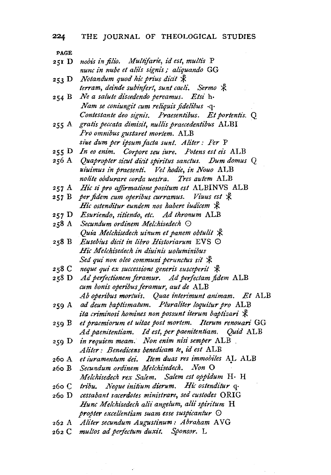251 D 253 D *Notandum quod hic prius dicit*  $\,$ 254 B *Ne a salute discedendo pereamus. Etsi* h· 255 A *gratis peccata dimisz"t, nullz''s praecedentt"bus* ALBI 257 A *Hie si pro a.ffirmatione positum est* ALBINVS ALB 257 B *per fidem cum operibus curramus. Viuus est*  $\mathcal{\mathcal{R}}$ 259 A *ad deum baptismatum. Pluraliter loquitur pro* ALB 259 D *in requiem meam. Non enim nisi semper* ALB 260 c *tribu. Neque initium dierum. Hie oslenditur* q· 26o D *cessabant sacerdotes minis/rare, sed custodes* ORIG *nobis t"n filt"o. Multifarie, id est, multis* P *nunc in nube et aliis signis* ; *aliquando* GG *terram, deinde subinfert, sunt caeli. Sermo*  $\mathcal{R}$ *Nam se coniungit cum reliquis fidelibus* ·q· *Contestante deo signis. Praesentibus. Et portentis. Q Pro omnibus gustaret mortem.* ALB *siue dum per ipsum facta sunt. Aliter: Per* P *In eo enim. Corpore seu iure. Potens est ei's* ALB 256 A *Quapropter sicut dicit spiritus sanctus. Dum domus Q uiuimus in praesenti. Vel hodie, in Nouo* ALB *nolite obdurare corda uestra. Tres autem* ALB *Hic ostenditur eundem nos habere iudicem*  $\ddot{x}$ *Esuriendo, sitiendo, etc. Ad thronum* ALB *Secundum ordinem Melchisedech* 0 *Quia Melchisedech uinum et panem obtulit*  $\mathcal{R}$ *Eusebius dicit in libro Historiarum* EVS 0 *Hie Melchisedech in diuinis uoluminibus Sed qui non oleo communi perunctus sit*  $\ddot{\mathcal{K}}$ 258 C neque qui ex successione generis susceperit  $\mathcal{R}$ 258 D Ad perfectionem feramur. Ad perfectam fidem ALB *cum bonis operibus feramur, aut de* ALB *Ab opert"bus mortuis. Quae interimunt animam. Et* ALB *ita criminosi homines non possunt iterum baptizari*  $\mathcal{R}$ *et praemiorum et uitae post mortem. Iterum renouari* GG *Ad paenitentiam. Id est, per paenitentiam. Quid* ALB *Aliter: Benedicens benedicam te, id est* ALB 260 A et iuramentum dei. Item duas res immobiles AL ALB *Secundum ordinem Melchisedech. Non* 0 *Melchisedech rex Salem. Salem est oppidum* H· H *Hunc Melchisedech alit" angelum, alii spiritum* H *propter excellentiam suam esse suspicantur* 0 262 A Aliter secundum Augustinum: Abraham AVG *multos ad petfectum duxit. Sponsor.* L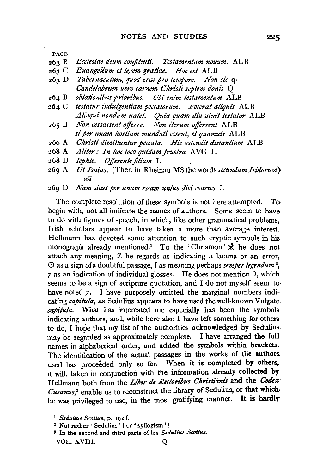- 263 B *Ecclesiae deum conjiten#. Testamentum nouum.* ALB
- $263 C$ *Euangelium et legem gratiae. Hoc est* ALB
- $263 D$ *Tabet•naculum, quod era! pro tempore. Non sic* q· *Candelabrum uero carnem Christi septem donis* Q
- $264 B$ *oblati'onibus prion"bus. Ubi enim testamentum* ALB
- *testatur indulgentiam peccatorum. Poterat aliquis ALB* 264 C *Alioqui nondum ualet. Quia quam diu uiuit testator* ALB
- $265 B$ *Non cessassent offirre. Non iterum offirrent* ALB *si per unam hostiam mundati essent, et quamui's* ALB
- *Christi dimittuntur peccata. Hie ostendit distantiam* ALB 266 A
- 268 A Aliter : In hoc loco quidam frustra AVG H
- *Iephte. Offerente jiliam* L 268 D
- 269 A *Ut Isaias.* (Then in Rheinau MS the words *secundum Isidorum}*   $\overline{est}$
- 269 D *Nam sicut per unam escam unius diei esuries* L

The complete resolution of these symbols is not here attempted. To begin with, not all indicate the names of authors. Some seem to have to do with figures of speech, in which, like other grammatical problems, Irish scholars appear to have taken a more than average interest. Hellmann has devoted some attention to such cryptic symbols in his monograph already mentioned.<sup>1</sup> To the 'Chrismon'  $\mathcal{R}$  he does not attach any meaning, Z he regards as indicating a lacuna or an error, 0 as a sign of a doubtful passage, f as meaning perhaps *semper legendum* <sup>2</sup> , 7 as an indication of individual glosses. He does not mention *),* which. seems to be a sign of scripture quotation, and I do not myself seem to have noted 7. I have purposely omitted the marginal numbers indicating *capitula,* as Sedulius appears to have used the well-known Vulgate *capitula.* What has interested me especially has been the symbols indicating authors, and, while here also I have left something for others. to do, I hope that my list of the authorities acknowledged by Sedulius. may be regarded as approximately complete. I have arranged the full names in alphabetical order, and added the symbols within brackets. The identification of the actual passages in the works of the authors. used has proceeded only so far. When it is completed by others, it will, taken in conjunction with the information already collected by Hellmann both from the *Liber de Rectoribus Christianis* and the *Codex* Cusanus,<sup>3</sup> enable us to reconstruct the library of Sedulius, or that which. he was privileged to use, in the most gratifying manner. It is hardly-

- <sup>2</sup> Not rather ' Sedulius' ? or ' syllogism'?
- s In the second and third parts of his *Sedu/ius Scottus.*

VOL. XVIII. Q

225

<sup>1</sup> *Sedulius Scottus,* p. 192 f.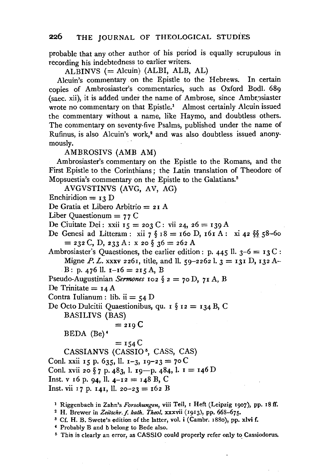probable that any other author of his period is equally scrupulous in recording his indebtedness to earlier writers.

ALBINVS  $(=\text{Alcuin})$  (ALBI, ALB, AL)

Alcuin's commentary on the Epistle to the Hebrews. In certain copies of Ambrosiaster's commentaries, such as Oxford Bodl. 689 (saec. xii), it is added under the name of Ambrose, since Ambrosiaster wrote no commentary on that Epistle.<sup>1</sup> Almost certainly Alcuin issued the commentary without a name, like Raymo, and doubtless others. The commentary on seventy-five Psalms, published under the name of Rufinus, is also Alcuin's work,<sup>2</sup> and was also doubtless issued anonymously.

AMBROSIVS (AMB AM)

Ambrosiaster's commentary on the Epistle to the Romans, and the First Epistle to the Corinthians ; the Latin translation of Theodore of Mopsuestia's commentary on the Epistle to the Galatians. 8

AVGVSTINVS (AVG, AV, AG)

Enchiridion  $= 13$  D

De Gratia et Libero Arbitrio = 2 I A

Liber Quaestionum  $= 77$  C

De Ciuitate Dei: xxii  $15 = 203$  C: vii 24, 26 = 139 A

De Genesi ad Litteram: xii 7  $\S$  18 = 160 D, 161 A: xi 42  $\S$  58-60  $=$  232 C, D, 233 A: x 20  $\S$  36 = 262 A

Ambrosiaster's Quaestiones, the earlier edition: p. 445 ll.  $3-6 = 13 \text{ C}$ : Migne *P. L.* xxxv 2261, title, and ll. 59-2262 l.  $3 = 131$  D, 132 A-B: p. 476 ll.  $i-i6 = 2i5$  A, B

Pseudo-Augustinian *Sermones* 102  $\S$  2 = 70 D, 71 A, B

De Trinitate  $= I 4 A$ 

Contra Iulianum : lib. ii  $=$  54 D

De Octo Dulcitii Quaestionibus, qu. 1  $\S$  12 = 134 B, C

BASILIVS (BAS)

$$
= 219 \, \mathrm{C}
$$

BEDA (Be)•

 $=$  154  $C$ 

CASSIANVS (CASSIO<sup>5</sup>, CASS, CAS)

Conl. xxii 15 p. 635, ll. 1-3, 19-23 = 70 C

Conl. xvii 20  $\S$  7 p. 483, l. 19-p. 484, l. 1 = 146 D

Inst. v 16 p. 94, ll.  $4-12 = 148$  B, C

Inst. vii 17 p. 141, ll. 20-23 = 162 B

1 Riggenbach in Zahn's *Forschungen,* viii Teil, I Heft (Leipzig 1907), pp. 18 ff.

2 H. Brewer in *Zeitschr.f. kath. Theol.* xxxvii (1913), pp. 668-675.

s Cf. H. B. Swete's edition of the latter, vol. i (Cambr. 188o), pp. xlvi f.

4 Probably B and b belong to Bede also.

<sup>5</sup> This is clearly an error, as CASSIO could properly refer only to Cassiodorus.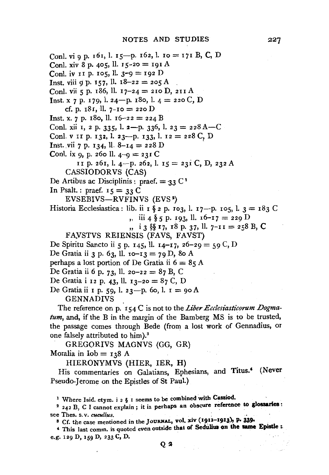Conl. vi 9 p. 161, l. 15-p. 162, l. 10 = 171 B, C, D Conl. xiv 8 p. 405, ll.  $15-20 = 191$  A Conl. iv II p. 105, ll.  $3-9 = 192$  D Inst. viii 9 p. 157, ll.  $18-22 = 205$  A Conl. vii 5 p. 186, ll. 17-24 = 210 D, 211 A Inst. x 7 p. 179, l. 24-p. 180, l.  $4 = 220$  C, D cf. p. 181, ll.  $7-10 = 220$  D Inst. x. 7 p. 180, ll.  $16-22 = 224$  B Conl. xii 1, 2 p. 335, l.  $2-p$ . 336, l.  $23 = 228$  A-C Conl. v II p. 132, l. 23-p. 133, l. 12 = 228 C, D Inst. vii 7 p. 134, ll. 8-14 = 228 D Conl. ix 9, p. 260 ll.  $4-9 = 23I$  C II p. 26I, l. 4-p. 262, l.  $15 = 23i$  C, D, 232 A CASSIODORVS (CAS) De Artibus ac Disciplinis : praef.  $=$  33 C<sup>1</sup> In Psalt. : praef.  $15 = 33$  C EVSEBIVS-RVFINVS (EVS ') Historia Ecclesiastica: lib. ii 1 § 2 p. 103, l. 17-p. 105, l. 3 = 183 C<br>
,, iii 4 § 5 p. 193, ll. 16-17 = 229 D ,, i 3  $\S$  17, 18 p. 37, ll.  $7-II = 258 B$ , C FAVSTVS REIENSIS (FAVS, FAVST) De Spiritu Sancto ii 5 p. 145, ll. 14-17, 26-29 = 59 C, D De Gratia ii 3 p. 63, ll.  $io-13 = 79$  D, 80 A perhaps a lost portion of De Gratia ii  $6 = 85$  A De Gratia ii 6 p. 73, ll. 20-22 = 87 B, C De Gratia i 12 p. 43, II. 13-20 = 87 C, D De Gratia ii I p. 59, l. 23-p. 60, l. I = 90 A GENNADIVS

The reference on p. 154 C is not to the *Liber Ecclesiasticorum Dogmatum,* and, if the B in the margin of the Bamberg MS is to be trusted, the passage comes through Bede (from a lost work of Gennadius, or one falsely attributed to him).<sup>3</sup>

GREGORIVS MAGNVS (GG, GR) Moralia in  $\text{Iob} = 138 \text{ A}$ 

HIERONYMVS (HIER, IER, H)

His commentaries on Galatians, Ephesians, and Titus.' (Never Pseudo-Jerome on the Epistles of St Paul.)

<sup>1</sup> Where Isid. etym. i 2 § I seems to be combined with Cassiod.

 $2$  242 B, C I cannot explain ; it is perhaps an obscure reference to glossaries :

see Thes. s. v. *cucullus*.<br><sup>3</sup> Cf. the case mentioned in the Journal, vol. xiv (1912–1913), P. 339.

' This last comm. is quoted even outside that of Sedulius on the same Epistle :. e.g. I 29 D, 159 D, 233 C, D.